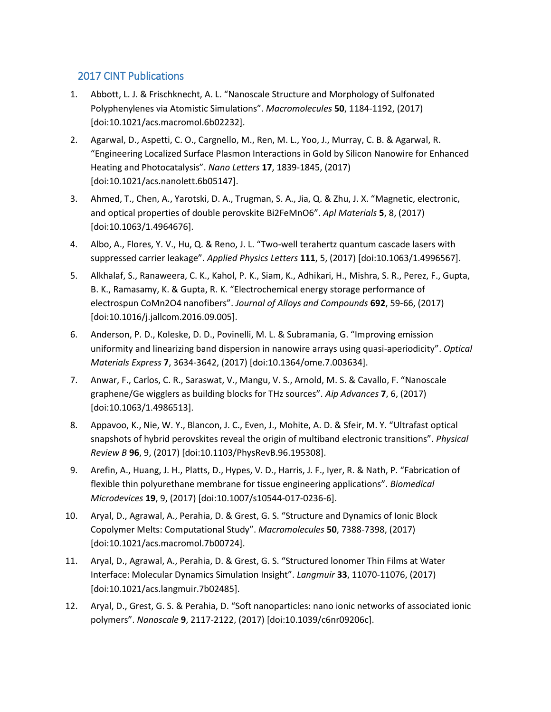## 2017 CINT Publications

- 1. Abbott, L. J. & Frischknecht, A. L. "Nanoscale Structure and Morphology of Sulfonated Polyphenylenes via Atomistic Simulations". *Macromolecules* **50**, 1184-1192, (2017) [doi:10.1021/acs.macromol.6b02232].
- 2. Agarwal, D., Aspetti, C. O., Cargnello, M., Ren, M. L., Yoo, J., Murray, C. B. & Agarwal, R. "Engineering Localized Surface Plasmon Interactions in Gold by Silicon Nanowire for Enhanced Heating and Photocatalysis". *Nano Letters* **17**, 1839-1845, (2017) [doi:10.1021/acs.nanolett.6b05147].
- 3. Ahmed, T., Chen, A., Yarotski, D. A., Trugman, S. A., Jia, Q. & Zhu, J. X. "Magnetic, electronic, and optical properties of double perovskite Bi2FeMnO6". *Apl Materials* **5**, 8, (2017) [doi:10.1063/1.4964676].
- 4. Albo, A., Flores, Y. V., Hu, Q. & Reno, J. L. "Two-well terahertz quantum cascade lasers with suppressed carrier leakage". *Applied Physics Letters* **111**, 5, (2017) [doi:10.1063/1.4996567].
- 5. Alkhalaf, S., Ranaweera, C. K., Kahol, P. K., Siam, K., Adhikari, H., Mishra, S. R., Perez, F., Gupta, B. K., Ramasamy, K. & Gupta, R. K. "Electrochemical energy storage performance of electrospun CoMn2O4 nanofibers". *Journal of Alloys and Compounds* **692**, 59-66, (2017) [doi:10.1016/j.jallcom.2016.09.005].
- 6. Anderson, P. D., Koleske, D. D., Povinelli, M. L. & Subramania, G. "Improving emission uniformity and linearizing band dispersion in nanowire arrays using quasi-aperiodicity". *Optical Materials Express* **7**, 3634-3642, (2017) [doi:10.1364/ome.7.003634].
- 7. Anwar, F., Carlos, C. R., Saraswat, V., Mangu, V. S., Arnold, M. S. & Cavallo, F. "Nanoscale graphene/Ge wigglers as building blocks for THz sources". *Aip Advances* **7**, 6, (2017) [doi:10.1063/1.4986513].
- 8. Appavoo, K., Nie, W. Y., Blancon, J. C., Even, J., Mohite, A. D. & Sfeir, M. Y. "Ultrafast optical snapshots of hybrid perovskites reveal the origin of multiband electronic transitions". *Physical Review B* **96**, 9, (2017) [doi:10.1103/PhysRevB.96.195308].
- 9. Arefin, A., Huang, J. H., Platts, D., Hypes, V. D., Harris, J. F., Iyer, R. & Nath, P. "Fabrication of flexible thin polyurethane membrane for tissue engineering applications". *Biomedical Microdevices* **19**, 9, (2017) [doi:10.1007/s10544-017-0236-6].
- 10. Aryal, D., Agrawal, A., Perahia, D. & Grest, G. S. "Structure and Dynamics of Ionic Block Copolymer Melts: Computational Study". *Macromolecules* **50**, 7388-7398, (2017) [doi:10.1021/acs.macromol.7b00724].
- 11. Aryal, D., Agrawal, A., Perahia, D. & Grest, G. S. "Structured lonomer Thin Films at Water Interface: Molecular Dynamics Simulation Insight". *Langmuir* **33**, 11070-11076, (2017) [doi:10.1021/acs.langmuir.7b02485].
- 12. Aryal, D., Grest, G. S. & Perahia, D. "Soft nanoparticles: nano ionic networks of associated ionic polymers". *Nanoscale* **9**, 2117-2122, (2017) [doi:10.1039/c6nr09206c].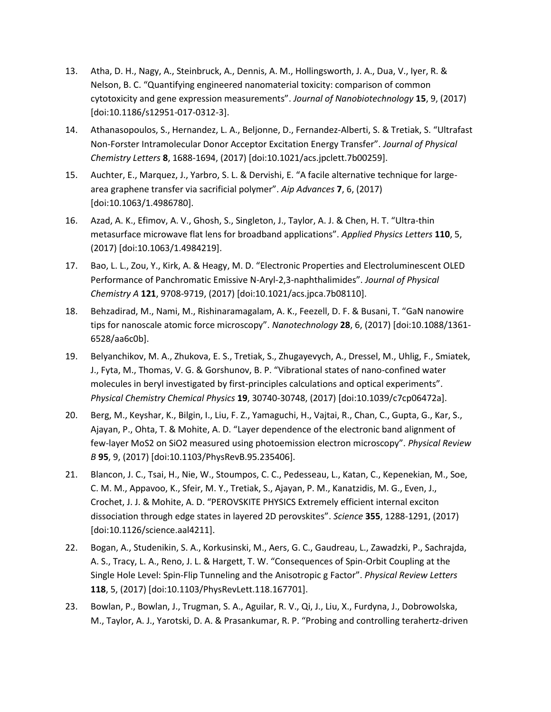- 13. Atha, D. H., Nagy, A., Steinbruck, A., Dennis, A. M., Hollingsworth, J. A., Dua, V., Iyer, R. & Nelson, B. C. "Quantifying engineered nanomaterial toxicity: comparison of common cytotoxicity and gene expression measurements". *Journal of Nanobiotechnology* **15**, 9, (2017) [doi:10.1186/s12951-017-0312-3].
- 14. Athanasopoulos, S., Hernandez, L. A., Beljonne, D., Fernandez-Alberti, S. & Tretiak, S. "Ultrafast Non-Forster Intramolecular Donor Acceptor Excitation Energy Transfer". *Journal of Physical Chemistry Letters* **8**, 1688-1694, (2017) [doi:10.1021/acs.jpclett.7b00259].
- 15. Auchter, E., Marquez, J., Yarbro, S. L. & Dervishi, E. "A facile alternative technique for largearea graphene transfer via sacrificial polymer". *Aip Advances* **7**, 6, (2017) [doi:10.1063/1.4986780].
- 16. Azad, A. K., Efimov, A. V., Ghosh, S., Singleton, J., Taylor, A. J. & Chen, H. T. "Ultra-thin metasurface microwave flat lens for broadband applications". *Applied Physics Letters* **110**, 5, (2017) [doi:10.1063/1.4984219].
- 17. Bao, L. L., Zou, Y., Kirk, A. & Heagy, M. D. "Electronic Properties and Electroluminescent OLED Performance of Panchromatic Emissive N-Aryl-2,3-naphthalimides". *Journal of Physical Chemistry A* **121**, 9708-9719, (2017) [doi:10.1021/acs.jpca.7b08110].
- 18. Behzadirad, M., Nami, M., Rishinaramagalam, A. K., Feezell, D. F. & Busani, T. "GaN nanowire tips for nanoscale atomic force microscopy". *Nanotechnology* **28**, 6, (2017) [doi:10.1088/1361- 6528/aa6c0b].
- 19. Belyanchikov, M. A., Zhukova, E. S., Tretiak, S., Zhugayevych, A., Dressel, M., Uhlig, F., Smiatek, J., Fyta, M., Thomas, V. G. & Gorshunov, B. P. "Vibrational states of nano-confined water molecules in beryl investigated by first-principles calculations and optical experiments". *Physical Chemistry Chemical Physics* **19**, 30740-30748, (2017) [doi:10.1039/c7cp06472a].
- 20. Berg, M., Keyshar, K., Bilgin, I., Liu, F. Z., Yamaguchi, H., Vajtai, R., Chan, C., Gupta, G., Kar, S., Ajayan, P., Ohta, T. & Mohite, A. D. "Layer dependence of the electronic band alignment of few-layer MoS2 on SiO2 measured using photoemission electron microscopy". *Physical Review B* **95**, 9, (2017) [doi:10.1103/PhysRevB.95.235406].
- 21. Blancon, J. C., Tsai, H., Nie, W., Stoumpos, C. C., Pedesseau, L., Katan, C., Kepenekian, M., Soe, C. M. M., Appavoo, K., Sfeir, M. Y., Tretiak, S., Ajayan, P. M., Kanatzidis, M. G., Even, J., Crochet, J. J. & Mohite, A. D. "PEROVSKITE PHYSICS Extremely efficient internal exciton dissociation through edge states in layered 2D perovskites". *Science* **355**, 1288-1291, (2017) [doi:10.1126/science.aal4211].
- 22. Bogan, A., Studenikin, S. A., Korkusinski, M., Aers, G. C., Gaudreau, L., Zawadzki, P., Sachrajda, A. S., Tracy, L. A., Reno, J. L. & Hargett, T. W. "Consequences of Spin-Orbit Coupling at the Single Hole Level: Spin-Flip Tunneling and the Anisotropic g Factor". *Physical Review Letters* **118**, 5, (2017) [doi:10.1103/PhysRevLett.118.167701].
- 23. Bowlan, P., Bowlan, J., Trugman, S. A., Aguilar, R. V., Qi, J., Liu, X., Furdyna, J., Dobrowolska, M., Taylor, A. J., Yarotski, D. A. & Prasankumar, R. P. "Probing and controlling terahertz-driven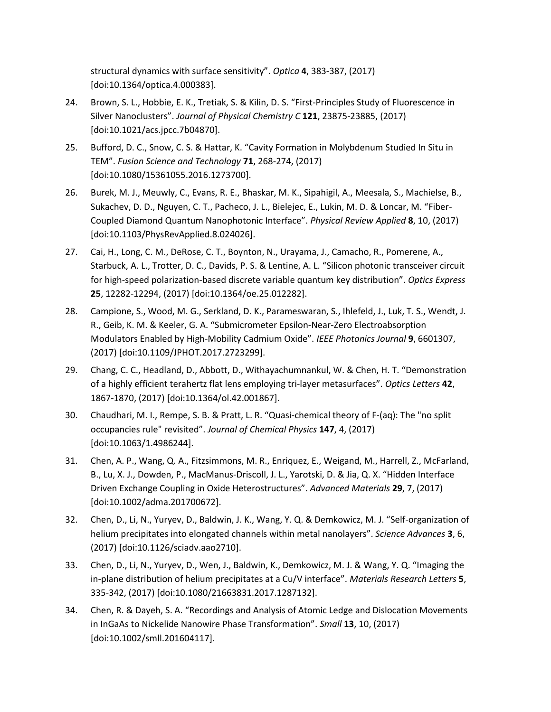structural dynamics with surface sensitivity". *Optica* **4**, 383-387, (2017) [doi:10.1364/optica.4.000383].

- 24. Brown, S. L., Hobbie, E. K., Tretiak, S. & Kilin, D. S. "First-Principles Study of Fluorescence in Silver Nanoclusters". *Journal of Physical Chemistry C* **121**, 23875-23885, (2017) [doi:10.1021/acs.jpcc.7b04870].
- 25. Bufford, D. C., Snow, C. S. & Hattar, K. "Cavity Formation in Molybdenum Studied In Situ in TEM". *Fusion Science and Technology* **71**, 268-274, (2017) [doi:10.1080/15361055.2016.1273700].
- 26. Burek, M. J., Meuwly, C., Evans, R. E., Bhaskar, M. K., Sipahigil, A., Meesala, S., Machielse, B., Sukachev, D. D., Nguyen, C. T., Pacheco, J. L., Bielejec, E., Lukin, M. D. & Loncar, M. "Fiber-Coupled Diamond Quantum Nanophotonic Interface". *Physical Review Applied* **8**, 10, (2017) [doi:10.1103/PhysRevApplied.8.024026].
- 27. Cai, H., Long, C. M., DeRose, C. T., Boynton, N., Urayama, J., Camacho, R., Pomerene, A., Starbuck, A. L., Trotter, D. C., Davids, P. S. & Lentine, A. L. "Silicon photonic transceiver circuit for high-speed polarization-based discrete variable quantum key distribution". *Optics Express* **25**, 12282-12294, (2017) [doi:10.1364/oe.25.012282].
- 28. Campione, S., Wood, M. G., Serkland, D. K., Parameswaran, S., Ihlefeld, J., Luk, T. S., Wendt, J. R., Geib, K. M. & Keeler, G. A. "Submicrometer Epsilon-Near-Zero Electroabsorption Modulators Enabled by High-Mobility Cadmium Oxide". *IEEE Photonics Journal* **9**, 6601307, (2017) [doi:10.1109/JPHOT.2017.2723299].
- 29. Chang, C. C., Headland, D., Abbott, D., Withayachumnankul, W. & Chen, H. T. "Demonstration of a highly efficient terahertz flat lens employing tri-layer metasurfaces". *Optics Letters* **42**, 1867-1870, (2017) [doi:10.1364/ol.42.001867].
- 30. Chaudhari, M. I., Rempe, S. B. & Pratt, L. R. "Quasi-chemical theory of F-(aq): The "no split occupancies rule" revisited". *Journal of Chemical Physics* **147**, 4, (2017) [doi:10.1063/1.4986244].
- 31. Chen, A. P., Wang, Q. A., Fitzsimmons, M. R., Enriquez, E., Weigand, M., Harrell, Z., McFarland, B., Lu, X. J., Dowden, P., MacManus-Driscoll, J. L., Yarotski, D. & Jia, Q. X. "Hidden Interface Driven Exchange Coupling in Oxide Heterostructures". *Advanced Materials* **29**, 7, (2017) [doi:10.1002/adma.201700672].
- 32. Chen, D., Li, N., Yuryev, D., Baldwin, J. K., Wang, Y. Q. & Demkowicz, M. J. "Self-organization of helium precipitates into elongated channels within metal nanolayers". *Science Advances* **3**, 6, (2017) [doi:10.1126/sciadv.aao2710].
- 33. Chen, D., Li, N., Yuryev, D., Wen, J., Baldwin, K., Demkowicz, M. J. & Wang, Y. Q. "Imaging the in-plane distribution of helium precipitates at a Cu/V interface". *Materials Research Letters* **5**, 335-342, (2017) [doi:10.1080/21663831.2017.1287132].
- 34. Chen, R. & Dayeh, S. A. "Recordings and Analysis of Atomic Ledge and Dislocation Movements in InGaAs to Nickelide Nanowire Phase Transformation". *Small* **13**, 10, (2017) [doi:10.1002/smll.201604117].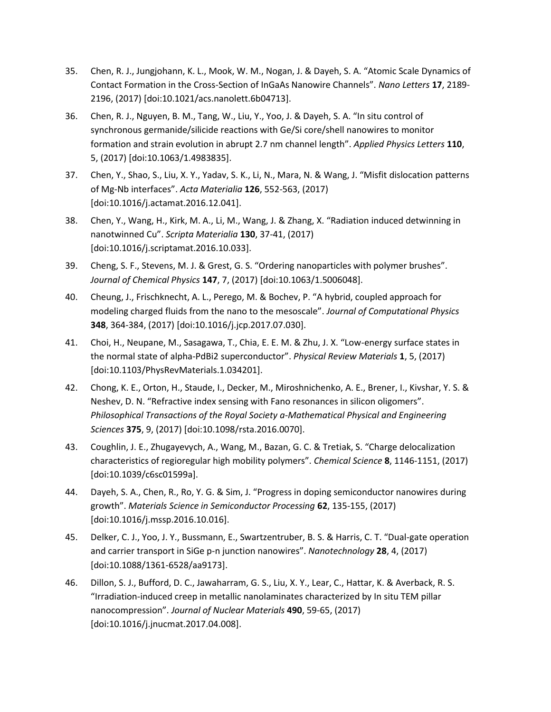- 35. Chen, R. J., Jungjohann, K. L., Mook, W. M., Nogan, J. & Dayeh, S. A. "Atomic Scale Dynamics of Contact Formation in the Cross-Section of InGaAs Nanowire Channels". *Nano Letters* **17**, 2189- 2196, (2017) [doi:10.1021/acs.nanolett.6b04713].
- 36. Chen, R. J., Nguyen, B. M., Tang, W., Liu, Y., Yoo, J. & Dayeh, S. A. "In situ control of synchronous germanide/silicide reactions with Ge/Si core/shell nanowires to monitor formation and strain evolution in abrupt 2.7 nm channel length". *Applied Physics Letters* **110**, 5, (2017) [doi:10.1063/1.4983835].
- 37. Chen, Y., Shao, S., Liu, X. Y., Yadav, S. K., Li, N., Mara, N. & Wang, J. "Misfit dislocation patterns of Mg-Nb interfaces". *Acta Materialia* **126**, 552-563, (2017) [doi:10.1016/j.actamat.2016.12.041].
- 38. Chen, Y., Wang, H., Kirk, M. A., Li, M., Wang, J. & Zhang, X. "Radiation induced detwinning in nanotwinned Cu". *Scripta Materialia* **130**, 37-41, (2017) [doi:10.1016/j.scriptamat.2016.10.033].
- 39. Cheng, S. F., Stevens, M. J. & Grest, G. S. "Ordering nanoparticles with polymer brushes". *Journal of Chemical Physics* **147**, 7, (2017) [doi:10.1063/1.5006048].
- 40. Cheung, J., Frischknecht, A. L., Perego, M. & Bochev, P. "A hybrid, coupled approach for modeling charged fluids from the nano to the mesoscale". *Journal of Computational Physics* **348**, 364-384, (2017) [doi:10.1016/j.jcp.2017.07.030].
- 41. Choi, H., Neupane, M., Sasagawa, T., Chia, E. E. M. & Zhu, J. X. "Low-energy surface states in the normal state of alpha-PdBi2 superconductor". *Physical Review Materials* **1**, 5, (2017) [doi:10.1103/PhysRevMaterials.1.034201].
- 42. Chong, K. E., Orton, H., Staude, I., Decker, M., Miroshnichenko, A. E., Brener, I., Kivshar, Y. S. & Neshev, D. N. "Refractive index sensing with Fano resonances in silicon oligomers". *Philosophical Transactions of the Royal Society a-Mathematical Physical and Engineering Sciences* **375**, 9, (2017) [doi:10.1098/rsta.2016.0070].
- 43. Coughlin, J. E., Zhugayevych, A., Wang, M., Bazan, G. C. & Tretiak, S. "Charge delocalization characteristics of regioregular high mobility polymers". *Chemical Science* **8**, 1146-1151, (2017) [doi:10.1039/c6sc01599a].
- 44. Dayeh, S. A., Chen, R., Ro, Y. G. & Sim, J. "Progress in doping semiconductor nanowires during growth". *Materials Science in Semiconductor Processing* **62**, 135-155, (2017) [doi:10.1016/j.mssp.2016.10.016].
- 45. Delker, C. J., Yoo, J. Y., Bussmann, E., Swartzentruber, B. S. & Harris, C. T. "Dual-gate operation and carrier transport in SiGe p-n junction nanowires". *Nanotechnology* **28**, 4, (2017) [doi:10.1088/1361-6528/aa9173].
- 46. Dillon, S. J., Bufford, D. C., Jawaharram, G. S., Liu, X. Y., Lear, C., Hattar, K. & Averback, R. S. "Irradiation-induced creep in metallic nanolaminates characterized by In situ TEM pillar nanocompression". *Journal of Nuclear Materials* **490**, 59-65, (2017) [doi:10.1016/j.jnucmat.2017.04.008].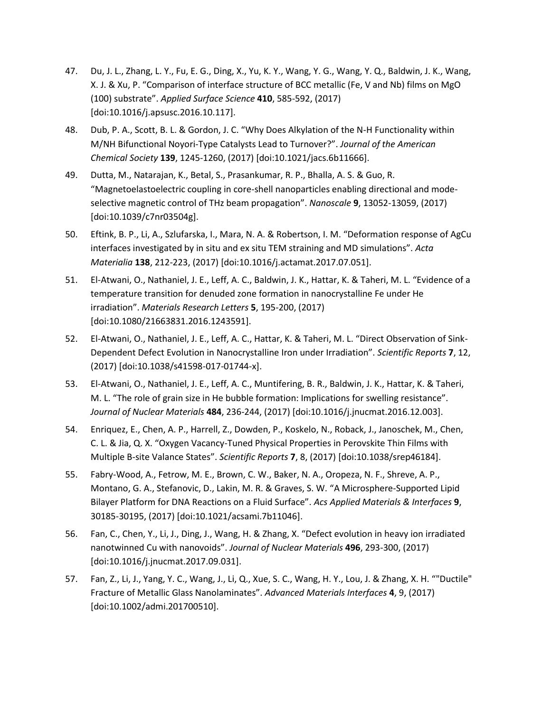- 47. Du, J. L., Zhang, L. Y., Fu, E. G., Ding, X., Yu, K. Y., Wang, Y. G., Wang, Y. Q., Baldwin, J. K., Wang, X. J. & Xu, P. "Comparison of interface structure of BCC metallic (Fe, V and Nb) films on MgO (100) substrate". *Applied Surface Science* **410**, 585-592, (2017) [doi:10.1016/j.apsusc.2016.10.117].
- 48. Dub, P. A., Scott, B. L. & Gordon, J. C. "Why Does Alkylation of the N-H Functionality within M/NH Bifunctional Noyori-Type Catalysts Lead to Turnover?". *Journal of the American Chemical Society* **139**, 1245-1260, (2017) [doi:10.1021/jacs.6b11666].
- 49. Dutta, M., Natarajan, K., Betal, S., Prasankumar, R. P., Bhalla, A. S. & Guo, R. "Magnetoelastoelectric coupling in core-shell nanoparticles enabling directional and modeselective magnetic control of THz beam propagation". *Nanoscale* **9**, 13052-13059, (2017) [doi:10.1039/c7nr03504g].
- 50. Eftink, B. P., Li, A., Szlufarska, I., Mara, N. A. & Robertson, I. M. "Deformation response of AgCu interfaces investigated by in situ and ex situ TEM straining and MD simulations". *Acta Materialia* **138**, 212-223, (2017) [doi:10.1016/j.actamat.2017.07.051].
- 51. El-Atwani, O., Nathaniel, J. E., Leff, A. C., Baldwin, J. K., Hattar, K. & Taheri, M. L. "Evidence of a temperature transition for denuded zone formation in nanocrystalline Fe under He irradiation". *Materials Research Letters* **5**, 195-200, (2017) [doi:10.1080/21663831.2016.1243591].
- 52. El-Atwani, O., Nathaniel, J. E., Leff, A. C., Hattar, K. & Taheri, M. L. "Direct Observation of Sink-Dependent Defect Evolution in Nanocrystalline Iron under Irradiation". *Scientific Reports* **7**, 12, (2017) [doi:10.1038/s41598-017-01744-x].
- 53. El-Atwani, O., Nathaniel, J. E., Leff, A. C., Muntifering, B. R., Baldwin, J. K., Hattar, K. & Taheri, M. L. "The role of grain size in He bubble formation: Implications for swelling resistance". *Journal of Nuclear Materials* **484**, 236-244, (2017) [doi:10.1016/j.jnucmat.2016.12.003].
- 54. Enriquez, E., Chen, A. P., Harrell, Z., Dowden, P., Koskelo, N., Roback, J., Janoschek, M., Chen, C. L. & Jia, Q. X. "Oxygen Vacancy-Tuned Physical Properties in Perovskite Thin Films with Multiple B-site Valance States". *Scientific Reports* **7**, 8, (2017) [doi:10.1038/srep46184].
- 55. Fabry-Wood, A., Fetrow, M. E., Brown, C. W., Baker, N. A., Oropeza, N. F., Shreve, A. P., Montano, G. A., Stefanovic, D., Lakin, M. R. & Graves, S. W. "A Microsphere-Supported Lipid Bilayer Platform for DNA Reactions on a Fluid Surface". *Acs Applied Materials & Interfaces* **9**, 30185-30195, (2017) [doi:10.1021/acsami.7b11046].
- 56. Fan, C., Chen, Y., Li, J., Ding, J., Wang, H. & Zhang, X. "Defect evolution in heavy ion irradiated nanotwinned Cu with nanovoids". *Journal of Nuclear Materials* **496**, 293-300, (2017) [doi:10.1016/j.jnucmat.2017.09.031].
- 57. Fan, Z., Li, J., Yang, Y. C., Wang, J., Li, Q., Xue, S. C., Wang, H. Y., Lou, J. & Zhang, X. H. ""Ductile" Fracture of Metallic Glass Nanolaminates". *Advanced Materials Interfaces* **4**, 9, (2017) [doi:10.1002/admi.201700510].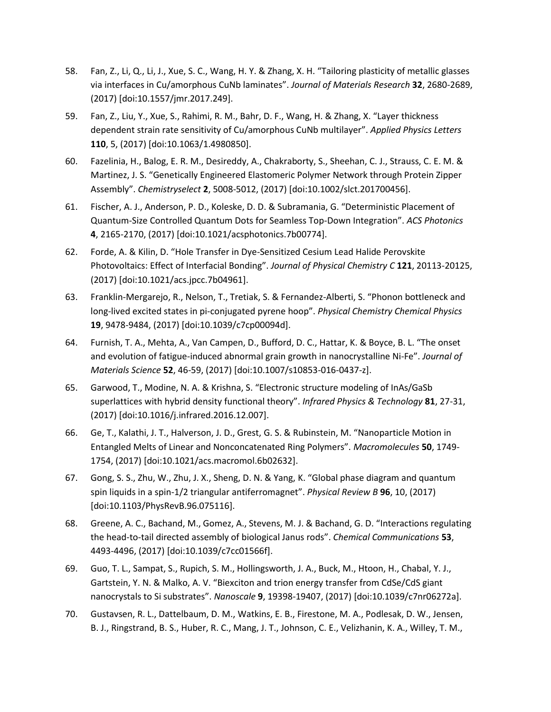- 58. Fan, Z., Li, Q., Li, J., Xue, S. C., Wang, H. Y. & Zhang, X. H. "Tailoring plasticity of metallic glasses via interfaces in Cu/amorphous CuNb laminates". *Journal of Materials Research* **32**, 2680-2689, (2017) [doi:10.1557/jmr.2017.249].
- 59. Fan, Z., Liu, Y., Xue, S., Rahimi, R. M., Bahr, D. F., Wang, H. & Zhang, X. "Layer thickness dependent strain rate sensitivity of Cu/amorphous CuNb multilayer". *Applied Physics Letters* **110**, 5, (2017) [doi:10.1063/1.4980850].
- 60. Fazelinia, H., Balog, E. R. M., Desireddy, A., Chakraborty, S., Sheehan, C. J., Strauss, C. E. M. & Martinez, J. S. "Genetically Engineered Elastomeric Polymer Network through Protein Zipper Assembly". *Chemistryselect* **2**, 5008-5012, (2017) [doi:10.1002/slct.201700456].
- 61. Fischer, A. J., Anderson, P. D., Koleske, D. D. & Subramania, G. "Deterministic Placement of Quantum-Size Controlled Quantum Dots for Seamless Top-Down Integration". *ACS Photonics* **4**, 2165-2170, (2017) [doi:10.1021/acsphotonics.7b00774].
- 62. Forde, A. & Kilin, D. "Hole Transfer in Dye-Sensitized Cesium Lead Halide Perovskite Photovoltaics: Effect of Interfacial Bonding". *Journal of Physical Chemistry C* **121**, 20113-20125, (2017) [doi:10.1021/acs.jpcc.7b04961].
- 63. Franklin-Mergarejo, R., Nelson, T., Tretiak, S. & Fernandez-Alberti, S. "Phonon bottleneck and long-lived excited states in pi-conjugated pyrene hoop". *Physical Chemistry Chemical Physics* **19**, 9478-9484, (2017) [doi:10.1039/c7cp00094d].
- 64. Furnish, T. A., Mehta, A., Van Campen, D., Bufford, D. C., Hattar, K. & Boyce, B. L. "The onset and evolution of fatigue-induced abnormal grain growth in nanocrystalline Ni-Fe". *Journal of Materials Science* **52**, 46-59, (2017) [doi:10.1007/s10853-016-0437-z].
- 65. Garwood, T., Modine, N. A. & Krishna, S. "Electronic structure modeling of InAs/GaSb superlattices with hybrid density functional theory". *Infrared Physics & Technology* **81**, 27-31, (2017) [doi:10.1016/j.infrared.2016.12.007].
- 66. Ge, T., Kalathi, J. T., Halverson, J. D., Grest, G. S. & Rubinstein, M. "Nanoparticle Motion in Entangled Melts of Linear and Nonconcatenated Ring Polymers". *Macromolecules* **50**, 1749- 1754, (2017) [doi:10.1021/acs.macromol.6b02632].
- 67. Gong, S. S., Zhu, W., Zhu, J. X., Sheng, D. N. & Yang, K. "Global phase diagram and quantum spin liquids in a spin-1/2 triangular antiferromagnet". *Physical Review B* **96**, 10, (2017) [doi:10.1103/PhysRevB.96.075116].
- 68. Greene, A. C., Bachand, M., Gomez, A., Stevens, M. J. & Bachand, G. D. "Interactions regulating the head-to-tail directed assembly of biological Janus rods". *Chemical Communications* **53**, 4493-4496, (2017) [doi:10.1039/c7cc01566f].
- 69. Guo, T. L., Sampat, S., Rupich, S. M., Hollingsworth, J. A., Buck, M., Htoon, H., Chabal, Y. J., Gartstein, Y. N. & Malko, A. V. "Biexciton and trion energy transfer from CdSe/CdS giant nanocrystals to Si substrates". *Nanoscale* **9**, 19398-19407, (2017) [doi:10.1039/c7nr06272a].
- 70. Gustavsen, R. L., Dattelbaum, D. M., Watkins, E. B., Firestone, M. A., Podlesak, D. W., Jensen, B. J., Ringstrand, B. S., Huber, R. C., Mang, J. T., Johnson, C. E., Velizhanin, K. A., Willey, T. M.,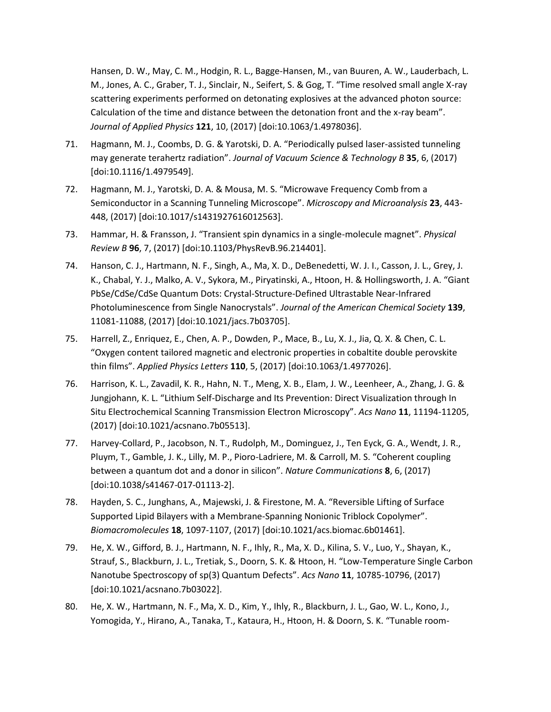Hansen, D. W., May, C. M., Hodgin, R. L., Bagge-Hansen, M., van Buuren, A. W., Lauderbach, L. M., Jones, A. C., Graber, T. J., Sinclair, N., Seifert, S. & Gog, T. "Time resolved small angle X-ray scattering experiments performed on detonating explosives at the advanced photon source: Calculation of the time and distance between the detonation front and the x-ray beam". *Journal of Applied Physics* **121**, 10, (2017) [doi:10.1063/1.4978036].

- 71. Hagmann, M. J., Coombs, D. G. & Yarotski, D. A. "Periodically pulsed laser-assisted tunneling may generate terahertz radiation". *Journal of Vacuum Science & Technology B* **35**, 6, (2017) [doi:10.1116/1.4979549].
- 72. Hagmann, M. J., Yarotski, D. A. & Mousa, M. S. "Microwave Frequency Comb from a Semiconductor in a Scanning Tunneling Microscope". *Microscopy and Microanalysis* **23**, 443- 448, (2017) [doi:10.1017/s1431927616012563].
- 73. Hammar, H. & Fransson, J. "Transient spin dynamics in a single-molecule magnet". *Physical Review B* **96**, 7, (2017) [doi:10.1103/PhysRevB.96.214401].
- 74. Hanson, C. J., Hartmann, N. F., Singh, A., Ma, X. D., DeBenedetti, W. J. I., Casson, J. L., Grey, J. K., Chabal, Y. J., Malko, A. V., Sykora, M., Piryatinski, A., Htoon, H. & Hollingsworth, J. A. "Giant PbSe/CdSe/CdSe Quantum Dots: Crystal-Structure-Defined Ultrastable Near-Infrared Photoluminescence from Single Nanocrystals". *Journal of the American Chemical Society* **139**, 11081-11088, (2017) [doi:10.1021/jacs.7b03705].
- 75. Harrell, Z., Enriquez, E., Chen, A. P., Dowden, P., Mace, B., Lu, X. J., Jia, Q. X. & Chen, C. L. "Oxygen content tailored magnetic and electronic properties in cobaltite double perovskite thin films". *Applied Physics Letters* **110**, 5, (2017) [doi:10.1063/1.4977026].
- 76. Harrison, K. L., Zavadil, K. R., Hahn, N. T., Meng, X. B., Elam, J. W., Leenheer, A., Zhang, J. G. & Jungjohann, K. L. "Lithium Self-Discharge and Its Prevention: Direct Visualization through In Situ Electrochemical Scanning Transmission Electron Microscopy". *Acs Nano* **11**, 11194-11205, (2017) [doi:10.1021/acsnano.7b05513].
- 77. Harvey-Collard, P., Jacobson, N. T., Rudolph, M., Dominguez, J., Ten Eyck, G. A., Wendt, J. R., Pluym, T., Gamble, J. K., Lilly, M. P., Pioro-Ladriere, M. & Carroll, M. S. "Coherent coupling between a quantum dot and a donor in silicon". *Nature Communications* **8**, 6, (2017) [doi:10.1038/s41467-017-01113-2].
- 78. Hayden, S. C., Junghans, A., Majewski, J. & Firestone, M. A. "Reversible Lifting of Surface Supported Lipid Bilayers with a Membrane-Spanning Nonionic Triblock Copolymer". *Biomacromolecules* **18**, 1097-1107, (2017) [doi:10.1021/acs.biomac.6b01461].
- 79. He, X. W., Gifford, B. J., Hartmann, N. F., Ihly, R., Ma, X. D., Kilina, S. V., Luo, Y., Shayan, K., Strauf, S., Blackburn, J. L., Tretiak, S., Doorn, S. K. & Htoon, H. "Low-Temperature Single Carbon Nanotube Spectroscopy of sp(3) Quantum Defects". *Acs Nano* **11**, 10785-10796, (2017) [doi:10.1021/acsnano.7b03022].
- 80. He, X. W., Hartmann, N. F., Ma, X. D., Kim, Y., Ihly, R., Blackburn, J. L., Gao, W. L., Kono, J., Yomogida, Y., Hirano, A., Tanaka, T., Kataura, H., Htoon, H. & Doorn, S. K. "Tunable room-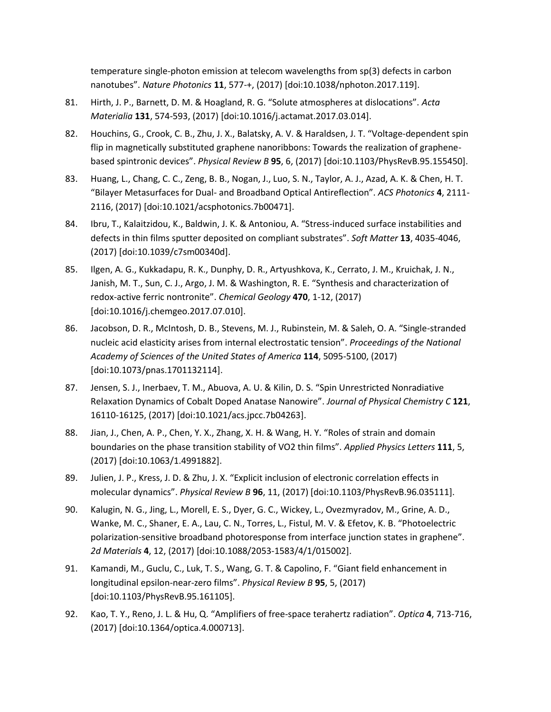temperature single-photon emission at telecom wavelengths from sp(3) defects in carbon nanotubes". *Nature Photonics* **11**, 577-+, (2017) [doi:10.1038/nphoton.2017.119].

- 81. Hirth, J. P., Barnett, D. M. & Hoagland, R. G. "Solute atmospheres at dislocations". *Acta Materialia* **131**, 574-593, (2017) [doi:10.1016/j.actamat.2017.03.014].
- 82. Houchins, G., Crook, C. B., Zhu, J. X., Balatsky, A. V. & Haraldsen, J. T. "Voltage-dependent spin flip in magnetically substituted graphene nanoribbons: Towards the realization of graphenebased spintronic devices". *Physical Review B* **95**, 6, (2017) [doi:10.1103/PhysRevB.95.155450].
- 83. Huang, L., Chang, C. C., Zeng, B. B., Nogan, J., Luo, S. N., Taylor, A. J., Azad, A. K. & Chen, H. T. "Bilayer Metasurfaces for Dual- and Broadband Optical Antireflection". *ACS Photonics* **4**, 2111- 2116, (2017) [doi:10.1021/acsphotonics.7b00471].
- 84. Ibru, T., Kalaitzidou, K., Baldwin, J. K. & Antoniou, A. "Stress-induced surface instabilities and defects in thin films sputter deposited on compliant substrates". *Soft Matter* **13**, 4035-4046, (2017) [doi:10.1039/c7sm00340d].
- 85. Ilgen, A. G., Kukkadapu, R. K., Dunphy, D. R., Artyushkova, K., Cerrato, J. M., Kruichak, J. N., Janish, M. T., Sun, C. J., Argo, J. M. & Washington, R. E. "Synthesis and characterization of redox-active ferric nontronite". *Chemical Geology* **470**, 1-12, (2017) [doi:10.1016/j.chemgeo.2017.07.010].
- 86. Jacobson, D. R., McIntosh, D. B., Stevens, M. J., Rubinstein, M. & Saleh, O. A. "Single-stranded nucleic acid elasticity arises from internal electrostatic tension". *Proceedings of the National Academy of Sciences of the United States of America* **114**, 5095-5100, (2017) [doi:10.1073/pnas.1701132114].
- 87. Jensen, S. J., Inerbaev, T. M., Abuova, A. U. & Kilin, D. S. "Spin Unrestricted Nonradiative Relaxation Dynamics of Cobalt Doped Anatase Nanowire". *Journal of Physical Chemistry C* **121**, 16110-16125, (2017) [doi:10.1021/acs.jpcc.7b04263].
- 88. Jian, J., Chen, A. P., Chen, Y. X., Zhang, X. H. & Wang, H. Y. "Roles of strain and domain boundaries on the phase transition stability of VO2 thin films". *Applied Physics Letters* **111**, 5, (2017) [doi:10.1063/1.4991882].
- 89. Julien, J. P., Kress, J. D. & Zhu, J. X. "Explicit inclusion of electronic correlation effects in molecular dynamics". *Physical Review B* **96**, 11, (2017) [doi:10.1103/PhysRevB.96.035111].
- 90. Kalugin, N. G., Jing, L., Morell, E. S., Dyer, G. C., Wickey, L., Ovezmyradov, M., Grine, A. D., Wanke, M. C., Shaner, E. A., Lau, C. N., Torres, L., Fistul, M. V. & Efetov, K. B. "Photoelectric polarization-sensitive broadband photoresponse from interface junction states in graphene". *2d Materials* **4**, 12, (2017) [doi:10.1088/2053-1583/4/1/015002].
- 91. Kamandi, M., Guclu, C., Luk, T. S., Wang, G. T. & Capolino, F. "Giant field enhancement in longitudinal epsilon-near-zero films". *Physical Review B* **95**, 5, (2017) [doi:10.1103/PhysRevB.95.161105].
- 92. Kao, T. Y., Reno, J. L. & Hu, Q. "Amplifiers of free-space terahertz radiation". *Optica* **4**, 713-716, (2017) [doi:10.1364/optica.4.000713].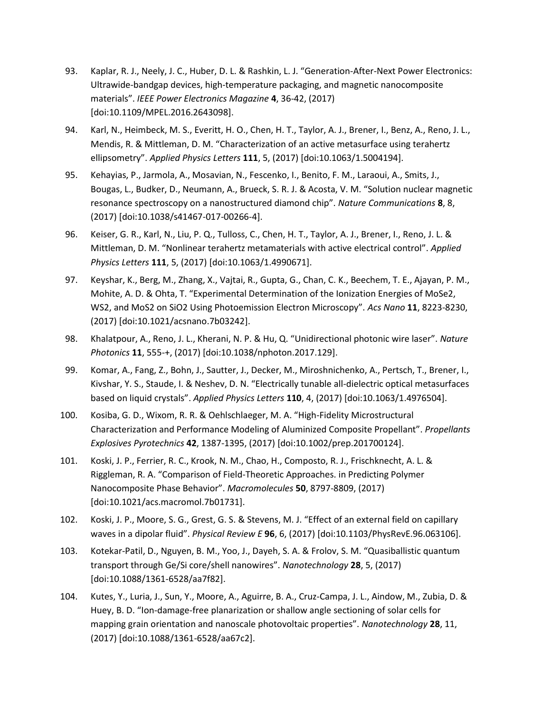- 93. Kaplar, R. J., Neely, J. C., Huber, D. L. & Rashkin, L. J. "Generation-After-Next Power Electronics: Ultrawide-bandgap devices, high-temperature packaging, and magnetic nanocomposite materials". *IEEE Power Electronics Magazine* **4**, 36-42, (2017) [doi:10.1109/MPEL.2016.2643098].
- 94. Karl, N., Heimbeck, M. S., Everitt, H. O., Chen, H. T., Taylor, A. J., Brener, I., Benz, A., Reno, J. L., Mendis, R. & Mittleman, D. M. "Characterization of an active metasurface using terahertz ellipsometry". *Applied Physics Letters* **111**, 5, (2017) [doi:10.1063/1.5004194].
- 95. Kehayias, P., Jarmola, A., Mosavian, N., Fescenko, I., Benito, F. M., Laraoui, A., Smits, J., Bougas, L., Budker, D., Neumann, A., Brueck, S. R. J. & Acosta, V. M. "Solution nuclear magnetic resonance spectroscopy on a nanostructured diamond chip". *Nature Communications* **8**, 8, (2017) [doi:10.1038/s41467-017-00266-4].
- 96. Keiser, G. R., Karl, N., Liu, P. Q., Tulloss, C., Chen, H. T., Taylor, A. J., Brener, I., Reno, J. L. & Mittleman, D. M. "Nonlinear terahertz metamaterials with active electrical control". *Applied Physics Letters* **111**, 5, (2017) [doi:10.1063/1.4990671].
- 97. Keyshar, K., Berg, M., Zhang, X., Vajtai, R., Gupta, G., Chan, C. K., Beechem, T. E., Ajayan, P. M., Mohite, A. D. & Ohta, T. "Experimental Determination of the Ionization Energies of MoSe2, WS2, and MoS2 on SiO2 Using Photoemission Electron Microscopy". *Acs Nano* **11**, 8223-8230, (2017) [doi:10.1021/acsnano.7b03242].
- 98. Khalatpour, A., Reno, J. L., Kherani, N. P. & Hu, Q. "Unidirectional photonic wire laser". *Nature Photonics* **11**, 555-+, (2017) [doi:10.1038/nphoton.2017.129].
- 99. Komar, A., Fang, Z., Bohn, J., Sautter, J., Decker, M., Miroshnichenko, A., Pertsch, T., Brener, I., Kivshar, Y. S., Staude, I. & Neshev, D. N. "Electrically tunable all-dielectric optical metasurfaces based on liquid crystals". *Applied Physics Letters* **110**, 4, (2017) [doi:10.1063/1.4976504].
- 100. Kosiba, G. D., Wixom, R. R. & Oehlschlaeger, M. A. "High-Fidelity Microstructural Characterization and Performance Modeling of Aluminized Composite Propellant". *Propellants Explosives Pyrotechnics* **42**, 1387-1395, (2017) [doi:10.1002/prep.201700124].
- 101. Koski, J. P., Ferrier, R. C., Krook, N. M., Chao, H., Composto, R. J., Frischknecht, A. L. & Riggleman, R. A. "Comparison of Field-Theoretic Approaches. in Predicting Polymer Nanocomposite Phase Behavior". *Macromolecules* **50**, 8797-8809, (2017) [doi:10.1021/acs.macromol.7b01731].
- 102. Koski, J. P., Moore, S. G., Grest, G. S. & Stevens, M. J. "Effect of an external field on capillary waves in a dipolar fluid". *Physical Review E* **96**, 6, (2017) [doi:10.1103/PhysRevE.96.063106].
- 103. Kotekar-Patil, D., Nguyen, B. M., Yoo, J., Dayeh, S. A. & Frolov, S. M. "Quasiballistic quantum transport through Ge/Si core/shell nanowires". *Nanotechnology* **28**, 5, (2017) [doi:10.1088/1361-6528/aa7f82].
- 104. Kutes, Y., Luria, J., Sun, Y., Moore, A., Aguirre, B. A., Cruz-Campa, J. L., Aindow, M., Zubia, D. & Huey, B. D. "Ion-damage-free planarization or shallow angle sectioning of solar cells for mapping grain orientation and nanoscale photovoltaic properties". *Nanotechnology* **28**, 11, (2017) [doi:10.1088/1361-6528/aa67c2].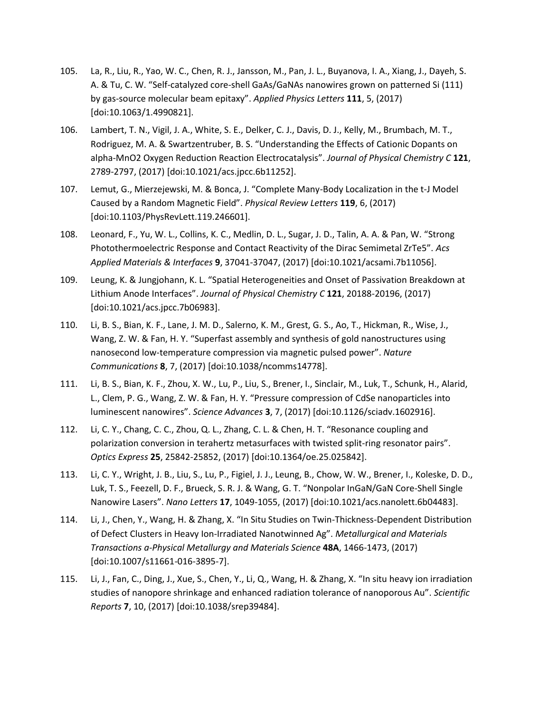- 105. La, R., Liu, R., Yao, W. C., Chen, R. J., Jansson, M., Pan, J. L., Buyanova, I. A., Xiang, J., Dayeh, S. A. & Tu, C. W. "Self-catalyzed core-shell GaAs/GaNAs nanowires grown on patterned Si (111) by gas-source molecular beam epitaxy". *Applied Physics Letters* **111**, 5, (2017) [doi:10.1063/1.4990821].
- 106. Lambert, T. N., Vigil, J. A., White, S. E., Delker, C. J., Davis, D. J., Kelly, M., Brumbach, M. T., Rodriguez, M. A. & Swartzentruber, B. S. "Understanding the Effects of Cationic Dopants on alpha-MnO2 Oxygen Reduction Reaction Electrocatalysis". *Journal of Physical Chemistry C* **121**, 2789-2797, (2017) [doi:10.1021/acs.jpcc.6b11252].
- 107. Lemut, G., Mierzejewski, M. & Bonca, J. "Complete Many-Body Localization in the t-J Model Caused by a Random Magnetic Field". *Physical Review Letters* **119**, 6, (2017) [doi:10.1103/PhysRevLett.119.246601].
- 108. Leonard, F., Yu, W. L., Collins, K. C., Medlin, D. L., Sugar, J. D., Talin, A. A. & Pan, W. "Strong Photothermoelectric Response and Contact Reactivity of the Dirac Semimetal ZrTe5". *Acs Applied Materials & Interfaces* **9**, 37041-37047, (2017) [doi:10.1021/acsami.7b11056].
- 109. Leung, K. & Jungjohann, K. L. "Spatial Heterogeneities and Onset of Passivation Breakdown at Lithium Anode Interfaces". *Journal of Physical Chemistry C* **121**, 20188-20196, (2017) [doi:10.1021/acs.jpcc.7b06983].
- 110. Li, B. S., Bian, K. F., Lane, J. M. D., Salerno, K. M., Grest, G. S., Ao, T., Hickman, R., Wise, J., Wang, Z. W. & Fan, H. Y. "Superfast assembly and synthesis of gold nanostructures using nanosecond low-temperature compression via magnetic pulsed power". *Nature Communications* **8**, 7, (2017) [doi:10.1038/ncomms14778].
- 111. Li, B. S., Bian, K. F., Zhou, X. W., Lu, P., Liu, S., Brener, I., Sinclair, M., Luk, T., Schunk, H., Alarid, L., Clem, P. G., Wang, Z. W. & Fan, H. Y. "Pressure compression of CdSe nanoparticles into luminescent nanowires". *Science Advances* **3**, 7, (2017) [doi:10.1126/sciadv.1602916].
- 112. Li, C. Y., Chang, C. C., Zhou, Q. L., Zhang, C. L. & Chen, H. T. "Resonance coupling and polarization conversion in terahertz metasurfaces with twisted split-ring resonator pairs". *Optics Express* **25**, 25842-25852, (2017) [doi:10.1364/oe.25.025842].
- 113. Li, C. Y., Wright, J. B., Liu, S., Lu, P., Figiel, J. J., Leung, B., Chow, W. W., Brener, I., Koleske, D. D., Luk, T. S., Feezell, D. F., Brueck, S. R. J. & Wang, G. T. "Nonpolar InGaN/GaN Core-Shell Single Nanowire Lasers". *Nano Letters* **17**, 1049-1055, (2017) [doi:10.1021/acs.nanolett.6b04483].
- 114. Li, J., Chen, Y., Wang, H. & Zhang, X. "In Situ Studies on Twin-Thickness-Dependent Distribution of Defect Clusters in Heavy Ion-Irradiated Nanotwinned Ag". *Metallurgical and Materials Transactions a-Physical Metallurgy and Materials Science* **48A**, 1466-1473, (2017) [doi:10.1007/s11661-016-3895-7].
- 115. Li, J., Fan, C., Ding, J., Xue, S., Chen, Y., Li, Q., Wang, H. & Zhang, X. "In situ heavy ion irradiation studies of nanopore shrinkage and enhanced radiation tolerance of nanoporous Au". *Scientific Reports* **7**, 10, (2017) [doi:10.1038/srep39484].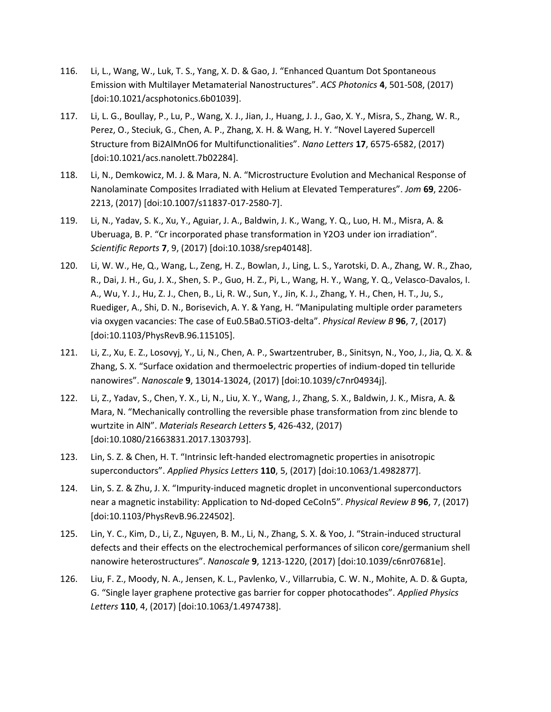- 116. Li, L., Wang, W., Luk, T. S., Yang, X. D. & Gao, J. "Enhanced Quantum Dot Spontaneous Emission with Multilayer Metamaterial Nanostructures". *ACS Photonics* **4**, 501-508, (2017) [doi:10.1021/acsphotonics.6b01039].
- 117. Li, L. G., Boullay, P., Lu, P., Wang, X. J., Jian, J., Huang, J. J., Gao, X. Y., Misra, S., Zhang, W. R., Perez, O., Steciuk, G., Chen, A. P., Zhang, X. H. & Wang, H. Y. "Novel Layered Supercell Structure from Bi2AlMnO6 for Multifunctionalities". *Nano Letters* **17**, 6575-6582, (2017) [doi:10.1021/acs.nanolett.7b02284].
- 118. Li, N., Demkowicz, M. J. & Mara, N. A. "Microstructure Evolution and Mechanical Response of Nanolaminate Composites Irradiated with Helium at Elevated Temperatures". *Jom* **69**, 2206- 2213, (2017) [doi:10.1007/s11837-017-2580-7].
- 119. Li, N., Yadav, S. K., Xu, Y., Aguiar, J. A., Baldwin, J. K., Wang, Y. Q., Luo, H. M., Misra, A. & Uberuaga, B. P. "Cr incorporated phase transformation in Y2O3 under ion irradiation". *Scientific Reports* **7**, 9, (2017) [doi:10.1038/srep40148].
- 120. Li, W. W., He, Q., Wang, L., Zeng, H. Z., Bowlan, J., Ling, L. S., Yarotski, D. A., Zhang, W. R., Zhao, R., Dai, J. H., Gu, J. X., Shen, S. P., Guo, H. Z., Pi, L., Wang, H. Y., Wang, Y. Q., Velasco-Davalos, I. A., Wu, Y. J., Hu, Z. J., Chen, B., Li, R. W., Sun, Y., Jin, K. J., Zhang, Y. H., Chen, H. T., Ju, S., Ruediger, A., Shi, D. N., Borisevich, A. Y. & Yang, H. "Manipulating multiple order parameters via oxygen vacancies: The case of Eu0.5Ba0.5TiO3-delta". *Physical Review B* **96**, 7, (2017) [doi:10.1103/PhysRevB.96.115105].
- 121. Li, Z., Xu, E. Z., Losovyj, Y., Li, N., Chen, A. P., Swartzentruber, B., Sinitsyn, N., Yoo, J., Jia, Q. X. & Zhang, S. X. "Surface oxidation and thermoelectric properties of indium-doped tin telluride nanowires". *Nanoscale* **9**, 13014-13024, (2017) [doi:10.1039/c7nr04934j].
- 122. Li, Z., Yadav, S., Chen, Y. X., Li, N., Liu, X. Y., Wang, J., Zhang, S. X., Baldwin, J. K., Misra, A. & Mara, N. "Mechanically controlling the reversible phase transformation from zinc blende to wurtzite in AlN". *Materials Research Letters* **5**, 426-432, (2017) [doi:10.1080/21663831.2017.1303793].
- 123. Lin, S. Z. & Chen, H. T. "Intrinsic left-handed electromagnetic properties in anisotropic superconductors". *Applied Physics Letters* **110**, 5, (2017) [doi:10.1063/1.4982877].
- 124. Lin, S. Z. & Zhu, J. X. "Impurity-induced magnetic droplet in unconventional superconductors near a magnetic instability: Application to Nd-doped CeCoIn5". *Physical Review B* **96**, 7, (2017) [doi:10.1103/PhysRevB.96.224502].
- 125. Lin, Y. C., Kim, D., Li, Z., Nguyen, B. M., Li, N., Zhang, S. X. & Yoo, J. "Strain-induced structural defects and their effects on the electrochemical performances of silicon core/germanium shell nanowire heterostructures". *Nanoscale* **9**, 1213-1220, (2017) [doi:10.1039/c6nr07681e].
- 126. Liu, F. Z., Moody, N. A., Jensen, K. L., Pavlenko, V., Villarrubia, C. W. N., Mohite, A. D. & Gupta, G. "Single layer graphene protective gas barrier for copper photocathodes". *Applied Physics Letters* **110**, 4, (2017) [doi:10.1063/1.4974738].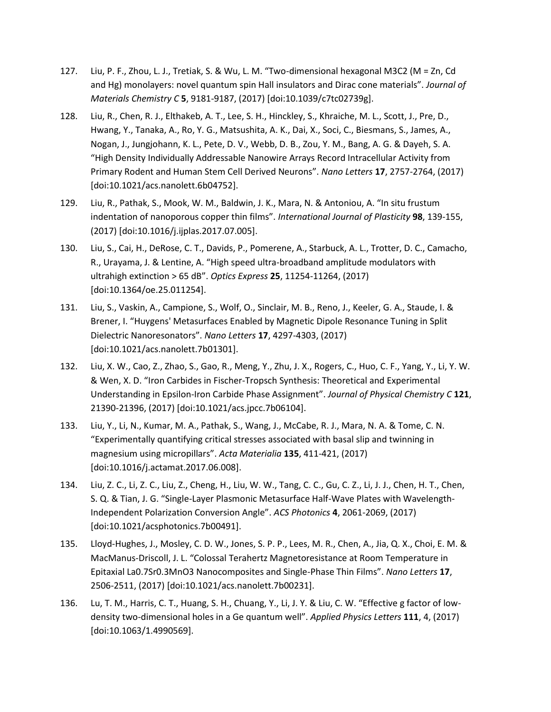- 127. Liu, P. F., Zhou, L. J., Tretiak, S. & Wu, L. M. "Two-dimensional hexagonal M3C2 (M = Zn, Cd and Hg) monolayers: novel quantum spin Hall insulators and Dirac cone materials". *Journal of Materials Chemistry C* **5**, 9181-9187, (2017) [doi:10.1039/c7tc02739g].
- 128. Liu, R., Chen, R. J., Elthakeb, A. T., Lee, S. H., Hinckley, S., Khraiche, M. L., Scott, J., Pre, D., Hwang, Y., Tanaka, A., Ro, Y. G., Matsushita, A. K., Dai, X., Soci, C., Biesmans, S., James, A., Nogan, J., Jungjohann, K. L., Pete, D. V., Webb, D. B., Zou, Y. M., Bang, A. G. & Dayeh, S. A. "High Density Individually Addressable Nanowire Arrays Record Intracellular Activity from Primary Rodent and Human Stem Cell Derived Neurons". *Nano Letters* **17**, 2757-2764, (2017) [doi:10.1021/acs.nanolett.6b04752].
- 129. Liu, R., Pathak, S., Mook, W. M., Baldwin, J. K., Mara, N. & Antoniou, A. "In situ frustum indentation of nanoporous copper thin films". *International Journal of Plasticity* **98**, 139-155, (2017) [doi:10.1016/j.ijplas.2017.07.005].
- 130. Liu, S., Cai, H., DeRose, C. T., Davids, P., Pomerene, A., Starbuck, A. L., Trotter, D. C., Camacho, R., Urayama, J. & Lentine, A. "High speed ultra-broadband amplitude modulators with ultrahigh extinction > 65 dB". *Optics Express* **25**, 11254-11264, (2017) [doi:10.1364/oe.25.011254].
- 131. Liu, S., Vaskin, A., Campione, S., Wolf, O., Sinclair, M. B., Reno, J., Keeler, G. A., Staude, I. & Brener, I. "Huygens' Metasurfaces Enabled by Magnetic Dipole Resonance Tuning in Split Dielectric Nanoresonators". *Nano Letters* **17**, 4297-4303, (2017) [doi:10.1021/acs.nanolett.7b01301].
- 132. Liu, X. W., Cao, Z., Zhao, S., Gao, R., Meng, Y., Zhu, J. X., Rogers, C., Huo, C. F., Yang, Y., Li, Y. W. & Wen, X. D. "Iron Carbides in Fischer-Tropsch Synthesis: Theoretical and Experimental Understanding in Epsilon-Iron Carbide Phase Assignment". *Journal of Physical Chemistry C* **121**, 21390-21396, (2017) [doi:10.1021/acs.jpcc.7b06104].
- 133. Liu, Y., Li, N., Kumar, M. A., Pathak, S., Wang, J., McCabe, R. J., Mara, N. A. & Tome, C. N. "Experimentally quantifying critical stresses associated with basal slip and twinning in magnesium using micropillars". *Acta Materialia* **135**, 411-421, (2017) [doi:10.1016/j.actamat.2017.06.008].
- 134. Liu, Z. C., Li, Z. C., Liu, Z., Cheng, H., Liu, W. W., Tang, C. C., Gu, C. Z., Li, J. J., Chen, H. T., Chen, S. Q. & Tian, J. G. "Single-Layer Plasmonic Metasurface Half-Wave Plates with Wavelength-Independent Polarization Conversion Angle". *ACS Photonics* **4**, 2061-2069, (2017) [doi:10.1021/acsphotonics.7b00491].
- 135. Lloyd-Hughes, J., Mosley, C. D. W., Jones, S. P. P., Lees, M. R., Chen, A., Jia, Q. X., Choi, E. M. & MacManus-Driscoll, J. L. "Colossal Terahertz Magnetoresistance at Room Temperature in Epitaxial La0.7Sr0.3MnO3 Nanocomposites and Single-Phase Thin Films". *Nano Letters* **17**, 2506-2511, (2017) [doi:10.1021/acs.nanolett.7b00231].
- 136. Lu, T. M., Harris, C. T., Huang, S. H., Chuang, Y., Li, J. Y. & Liu, C. W. "Effective g factor of lowdensity two-dimensional holes in a Ge quantum well". *Applied Physics Letters* **111**, 4, (2017) [doi:10.1063/1.4990569].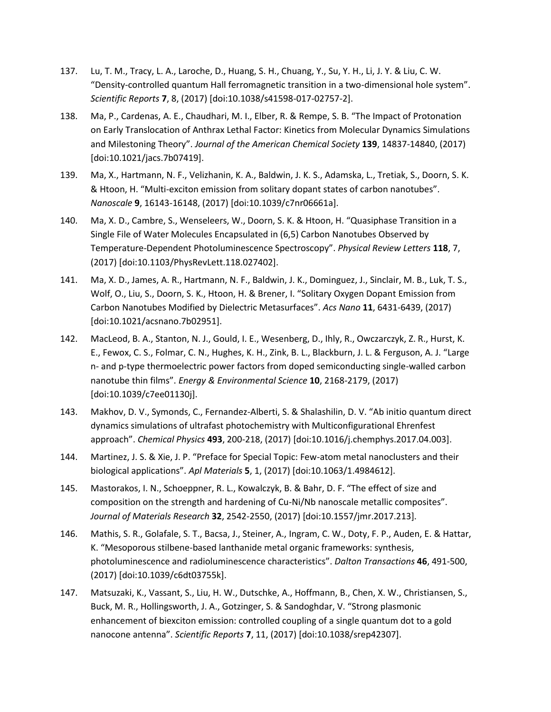- 137. Lu, T. M., Tracy, L. A., Laroche, D., Huang, S. H., Chuang, Y., Su, Y. H., Li, J. Y. & Liu, C. W. "Density-controlled quantum Hall ferromagnetic transition in a two-dimensional hole system". *Scientific Reports* **7**, 8, (2017) [doi:10.1038/s41598-017-02757-2].
- 138. Ma, P., Cardenas, A. E., Chaudhari, M. I., Elber, R. & Rempe, S. B. "The Impact of Protonation on Early Translocation of Anthrax Lethal Factor: Kinetics from Molecular Dynamics Simulations and Milestoning Theory". *Journal of the American Chemical Society* **139**, 14837-14840, (2017) [doi:10.1021/jacs.7b07419].
- 139. Ma, X., Hartmann, N. F., Velizhanin, K. A., Baldwin, J. K. S., Adamska, L., Tretiak, S., Doorn, S. K. & Htoon, H. "Multi-exciton emission from solitary dopant states of carbon nanotubes". *Nanoscale* **9**, 16143-16148, (2017) [doi:10.1039/c7nr06661a].
- 140. Ma, X. D., Cambre, S., Wenseleers, W., Doorn, S. K. & Htoon, H. "Quasiphase Transition in a Single File of Water Molecules Encapsulated in (6,5) Carbon Nanotubes Observed by Temperature-Dependent Photoluminescence Spectroscopy". *Physical Review Letters* **118**, 7, (2017) [doi:10.1103/PhysRevLett.118.027402].
- 141. Ma, X. D., James, A. R., Hartmann, N. F., Baldwin, J. K., Dominguez, J., Sinclair, M. B., Luk, T. S., Wolf, O., Liu, S., Doorn, S. K., Htoon, H. & Brener, I. "Solitary Oxygen Dopant Emission from Carbon Nanotubes Modified by Dielectric Metasurfaces". *Acs Nano* **11**, 6431-6439, (2017) [doi:10.1021/acsnano.7b02951].
- 142. MacLeod, B. A., Stanton, N. J., Gould, I. E., Wesenberg, D., Ihly, R., Owczarczyk, Z. R., Hurst, K. E., Fewox, C. S., Folmar, C. N., Hughes, K. H., Zink, B. L., Blackburn, J. L. & Ferguson, A. J. "Large n- and p-type thermoelectric power factors from doped semiconducting single-walled carbon nanotube thin films". *Energy & Environmental Science* **10**, 2168-2179, (2017) [doi:10.1039/c7ee01130j].
- 143. Makhov, D. V., Symonds, C., Fernandez-Alberti, S. & Shalashilin, D. V. "Ab initio quantum direct dynamics simulations of ultrafast photochemistry with Multiconfigurational Ehrenfest approach". *Chemical Physics* **493**, 200-218, (2017) [doi:10.1016/j.chemphys.2017.04.003].
- 144. Martinez, J. S. & Xie, J. P. "Preface for Special Topic: Few-atom metal nanoclusters and their biological applications". *Apl Materials* **5**, 1, (2017) [doi:10.1063/1.4984612].
- 145. Mastorakos, I. N., Schoeppner, R. L., Kowalczyk, B. & Bahr, D. F. "The effect of size and composition on the strength and hardening of Cu-Ni/Nb nanoscale metallic composites". *Journal of Materials Research* **32**, 2542-2550, (2017) [doi:10.1557/jmr.2017.213].
- 146. Mathis, S. R., Golafale, S. T., Bacsa, J., Steiner, A., Ingram, C. W., Doty, F. P., Auden, E. & Hattar, K. "Mesoporous stilbene-based lanthanide metal organic frameworks: synthesis, photoluminescence and radioluminescence characteristics". *Dalton Transactions* **46**, 491-500, (2017) [doi:10.1039/c6dt03755k].
- 147. Matsuzaki, K., Vassant, S., Liu, H. W., Dutschke, A., Hoffmann, B., Chen, X. W., Christiansen, S., Buck, M. R., Hollingsworth, J. A., Gotzinger, S. & Sandoghdar, V. "Strong plasmonic enhancement of biexciton emission: controlled coupling of a single quantum dot to a gold nanocone antenna". *Scientific Reports* **7**, 11, (2017) [doi:10.1038/srep42307].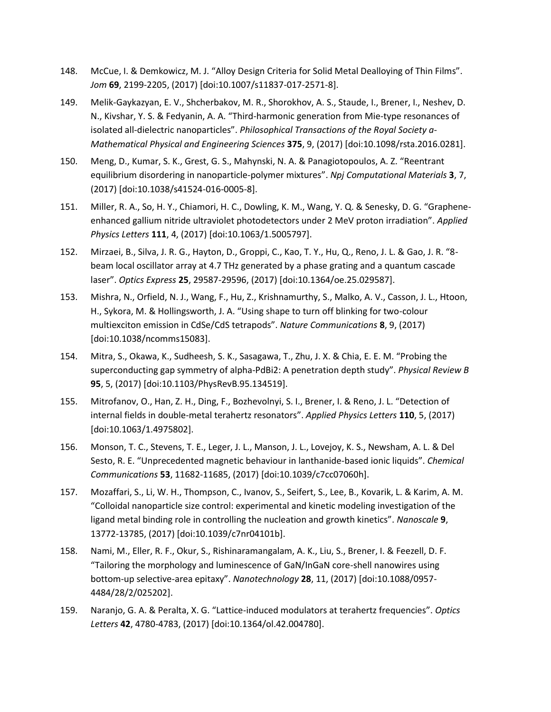- 148. McCue, I. & Demkowicz, M. J. "Alloy Design Criteria for Solid Metal Dealloying of Thin Films". *Jom* **69**, 2199-2205, (2017) [doi:10.1007/s11837-017-2571-8].
- 149. Melik-Gaykazyan, E. V., Shcherbakov, M. R., Shorokhov, A. S., Staude, I., Brener, I., Neshev, D. N., Kivshar, Y. S. & Fedyanin, A. A. "Third-harmonic generation from Mie-type resonances of isolated all-dielectric nanoparticles". *Philosophical Transactions of the Royal Society a-Mathematical Physical and Engineering Sciences* **375**, 9, (2017) [doi:10.1098/rsta.2016.0281].
- 150. Meng, D., Kumar, S. K., Grest, G. S., Mahynski, N. A. & Panagiotopoulos, A. Z. "Reentrant equilibrium disordering in nanoparticle-polymer mixtures". *Npj Computational Materials* **3**, 7, (2017) [doi:10.1038/s41524-016-0005-8].
- 151. Miller, R. A., So, H. Y., Chiamori, H. C., Dowling, K. M., Wang, Y. Q. & Senesky, D. G. "Grapheneenhanced gallium nitride ultraviolet photodetectors under 2 MeV proton irradiation". *Applied Physics Letters* **111**, 4, (2017) [doi:10.1063/1.5005797].
- 152. Mirzaei, B., Silva, J. R. G., Hayton, D., Groppi, C., Kao, T. Y., Hu, Q., Reno, J. L. & Gao, J. R. "8 beam local oscillator array at 4.7 THz generated by a phase grating and a quantum cascade laser". *Optics Express* **25**, 29587-29596, (2017) [doi:10.1364/oe.25.029587].
- 153. Mishra, N., Orfield, N. J., Wang, F., Hu, Z., Krishnamurthy, S., Malko, A. V., Casson, J. L., Htoon, H., Sykora, M. & Hollingsworth, J. A. "Using shape to turn off blinking for two-colour multiexciton emission in CdSe/CdS tetrapods". *Nature Communications* **8**, 9, (2017) [doi:10.1038/ncomms15083].
- 154. Mitra, S., Okawa, K., Sudheesh, S. K., Sasagawa, T., Zhu, J. X. & Chia, E. E. M. "Probing the superconducting gap symmetry of alpha-PdBi2: A penetration depth study". *Physical Review B* **95**, 5, (2017) [doi:10.1103/PhysRevB.95.134519].
- 155. Mitrofanov, O., Han, Z. H., Ding, F., Bozhevolnyi, S. I., Brener, I. & Reno, J. L. "Detection of internal fields in double-metal terahertz resonators". *Applied Physics Letters* **110**, 5, (2017) [doi:10.1063/1.4975802].
- 156. Monson, T. C., Stevens, T. E., Leger, J. L., Manson, J. L., Lovejoy, K. S., Newsham, A. L. & Del Sesto, R. E. "Unprecedented magnetic behaviour in lanthanide-based ionic liquids". *Chemical Communications* **53**, 11682-11685, (2017) [doi:10.1039/c7cc07060h].
- 157. Mozaffari, S., Li, W. H., Thompson, C., Ivanov, S., Seifert, S., Lee, B., Kovarik, L. & Karim, A. M. "Colloidal nanoparticle size control: experimental and kinetic modeling investigation of the ligand metal binding role in controlling the nucleation and growth kinetics". *Nanoscale* **9**, 13772-13785, (2017) [doi:10.1039/c7nr04101b].
- 158. Nami, M., Eller, R. F., Okur, S., Rishinaramangalam, A. K., Liu, S., Brener, I. & Feezell, D. F. "Tailoring the morphology and luminescence of GaN/InGaN core-shell nanowires using bottom-up selective-area epitaxy". *Nanotechnology* **28**, 11, (2017) [doi:10.1088/0957- 4484/28/2/025202].
- 159. Naranjo, G. A. & Peralta, X. G. "Lattice-induced modulators at terahertz frequencies". *Optics Letters* **42**, 4780-4783, (2017) [doi:10.1364/ol.42.004780].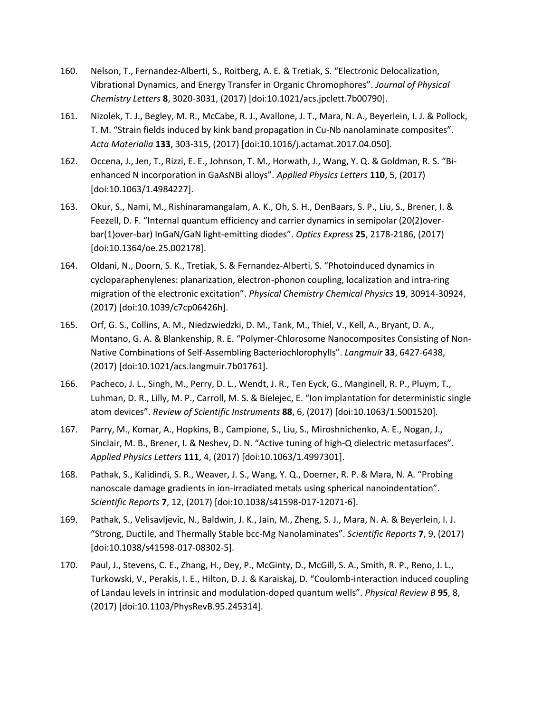- 160. Nelson, T., Fernandez-Alberti, S., Roitberg, A. E. & Tretiak, S. "Electronic Delocalization, Vibrational Dynamics, and Energy Transfer in Organic Chromophores". *Journal of Physical Chemistry Letters* **8**, 3020-3031, (2017) [doi:10.1021/acs.jpclett.7b00790].
- 161. Nizolek, T. J., Begley, M. R., McCabe, R. J., Avallone, J. T., Mara, N. A., Beyerlein, I. J. & Pollock, T. M. "Strain fields induced by kink band propagation in Cu-Nb nanolaminate composites". *Acta Materialia* **133**, 303-315, (2017) [doi:10.1016/j.actamat.2017.04.050].
- 162. Occena, J., Jen, T., Rizzi, E. E., Johnson, T. M., Horwath, J., Wang, Y. Q. & Goldman, R. S. "Bienhanced N incorporation in GaAsNBi alloys". *Applied Physics Letters* **110**, 5, (2017) [doi:10.1063/1.4984227].
- 163. Okur, S., Nami, M., Rishinaramangalam, A. K., Oh, S. H., DenBaars, S. P., Liu, S., Brener, I. & Feezell, D. F. "Internal quantum efficiency and carrier dynamics in semipolar (20(2)overbar(1)over-bar) InGaN/GaN light-emitting diodes". *Optics Express* **25**, 2178-2186, (2017) [doi:10.1364/oe.25.002178].
- 164. Oldani, N., Doorn, S. K., Tretiak, S. & Fernandez-Alberti, S. "Photoinduced dynamics in cycloparaphenylenes: planarization, electron-phonon coupling, localization and intra-ring migration of the electronic excitation". *Physical Chemistry Chemical Physics* **19**, 30914-30924, (2017) [doi:10.1039/c7cp06426h].
- 165. Orf, G. S., Collins, A. M., Niedzwiedzki, D. M., Tank, M., Thiel, V., Kell, A., Bryant, D. A., Montano, G. A. & Blankenship, R. E. "Polymer-Chlorosome Nanocomposites Consisting of Non-Native Combinations of Self-Assembling Bacteriochlorophylls". *Langmuir* **33**, 6427-6438, (2017) [doi:10.1021/acs.langmuir.7b01761].
- 166. Pacheco, J. L., Singh, M., Perry, D. L., Wendt, J. R., Ten Eyck, G., Manginell, R. P., Pluym, T., Luhman, D. R., Lilly, M. P., Carroll, M. S. & Bielejec, E. "Ion implantation for deterministic single atom devices". *Review of Scientific Instruments* **88**, 6, (2017) [doi:10.1063/1.5001520].
- 167. Parry, M., Komar, A., Hopkins, B., Campione, S., Liu, S., Miroshnichenko, A. E., Nogan, J., Sinclair, M. B., Brener, I. & Neshev, D. N. "Active tuning of high-Q dielectric metasurfaces". *Applied Physics Letters* **111**, 4, (2017) [doi:10.1063/1.4997301].
- 168. Pathak, S., Kalidindi, S. R., Weaver, J. S., Wang, Y. Q., Doerner, R. P. & Mara, N. A. "Probing nanoscale damage gradients in ion-irradiated metals using spherical nanoindentation". *Scientific Reports* **7**, 12, (2017) [doi:10.1038/s41598-017-12071-6].
- 169. Pathak, S., Velisavljevic, N., Baldwin, J. K., Jain, M., Zheng, S. J., Mara, N. A. & Beyerlein, I. J. "Strong, Ductile, and Thermally Stable bcc-Mg Nanolaminates". *Scientific Reports* **7**, 9, (2017) [doi:10.1038/s41598-017-08302-5].
- 170. Paul, J., Stevens, C. E., Zhang, H., Dey, P., McGinty, D., McGill, S. A., Smith, R. P., Reno, J. L., Turkowski, V., Perakis, I. E., Hilton, D. J. & Karaiskaj, D. "Coulomb-interaction induced coupling of Landau levels in intrinsic and modulation-doped quantum wells". *Physical Review B* **95**, 8, (2017) [doi:10.1103/PhysRevB.95.245314].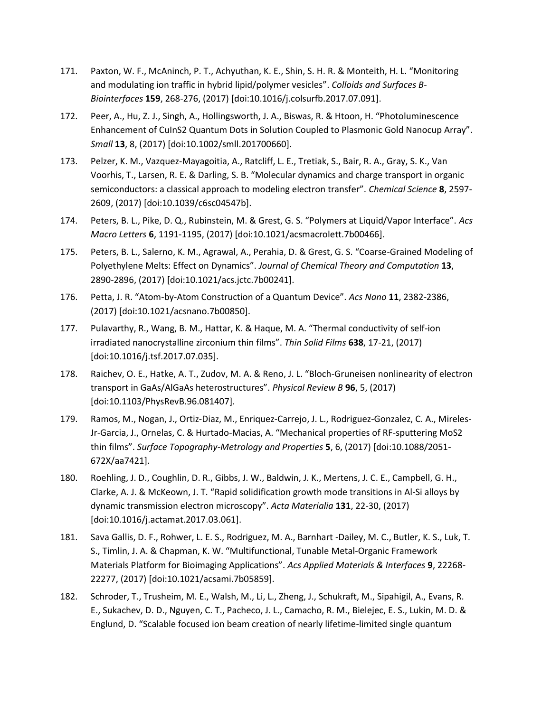- 171. Paxton, W. F., McAninch, P. T., Achyuthan, K. E., Shin, S. H. R. & Monteith, H. L. "Monitoring and modulating ion traffic in hybrid lipid/polymer vesicles". *Colloids and Surfaces B-Biointerfaces* **159**, 268-276, (2017) [doi:10.1016/j.colsurfb.2017.07.091].
- 172. Peer, A., Hu, Z. J., Singh, A., Hollingsworth, J. A., Biswas, R. & Htoon, H. "Photoluminescence Enhancement of CuInS2 Quantum Dots in Solution Coupled to Plasmonic Gold Nanocup Array". *Small* **13**, 8, (2017) [doi:10.1002/smll.201700660].
- 173. Pelzer, K. M., Vazquez-Mayagoitia, A., Ratcliff, L. E., Tretiak, S., Bair, R. A., Gray, S. K., Van Voorhis, T., Larsen, R. E. & Darling, S. B. "Molecular dynamics and charge transport in organic semiconductors: a classical approach to modeling electron transfer". *Chemical Science* **8**, 2597- 2609, (2017) [doi:10.1039/c6sc04547b].
- 174. Peters, B. L., Pike, D. Q., Rubinstein, M. & Grest, G. S. "Polymers at Liquid/Vapor Interface". *Acs Macro Letters* **6**, 1191-1195, (2017) [doi:10.1021/acsmacrolett.7b00466].
- 175. Peters, B. L., Salerno, K. M., Agrawal, A., Perahia, D. & Grest, G. S. "Coarse-Grained Modeling of Polyethylene Melts: Effect on Dynamics". *Journal of Chemical Theory and Computation* **13**, 2890-2896, (2017) [doi:10.1021/acs.jctc.7b00241].
- 176. Petta, J. R. "Atom-by-Atom Construction of a Quantum Device". *Acs Nano* **11**, 2382-2386, (2017) [doi:10.1021/acsnano.7b00850].
- 177. Pulavarthy, R., Wang, B. M., Hattar, K. & Haque, M. A. "Thermal conductivity of self-ion irradiated nanocrystalline zirconium thin films". *Thin Solid Films* **638**, 17-21, (2017) [doi:10.1016/j.tsf.2017.07.035].
- 178. Raichev, O. E., Hatke, A. T., Zudov, M. A. & Reno, J. L. "Bloch-Gruneisen nonlinearity of electron transport in GaAs/AlGaAs heterostructures". *Physical Review B* **96**, 5, (2017) [doi:10.1103/PhysRevB.96.081407].
- 179. Ramos, M., Nogan, J., Ortiz-Diaz, M., Enriquez-Carrejo, J. L., Rodriguez-Gonzalez, C. A., Mireles-Jr-Garcia, J., Ornelas, C. & Hurtado-Macias, A. "Mechanical properties of RF-sputtering MoS2 thin films". *Surface Topography-Metrology and Properties* **5**, 6, (2017) [doi:10.1088/2051- 672X/aa7421].
- 180. Roehling, J. D., Coughlin, D. R., Gibbs, J. W., Baldwin, J. K., Mertens, J. C. E., Campbell, G. H., Clarke, A. J. & McKeown, J. T. "Rapid solidification growth mode transitions in Al-Si alloys by dynamic transmission electron microscopy". *Acta Materialia* **131**, 22-30, (2017) [doi:10.1016/j.actamat.2017.03.061].
- 181. Sava Gallis, D. F., Rohwer, L. E. S., Rodriguez, M. A., Barnhart -Dailey, M. C., Butler, K. S., Luk, T. S., Timlin, J. A. & Chapman, K. W. "Multifunctional, Tunable Metal-Organic Framework Materials Platform for Bioimaging Applications". *Acs Applied Materials & Interfaces* **9**, 22268- 22277, (2017) [doi:10.1021/acsami.7b05859].
- 182. Schroder, T., Trusheim, M. E., Walsh, M., Li, L., Zheng, J., Schukraft, M., Sipahigil, A., Evans, R. E., Sukachev, D. D., Nguyen, C. T., Pacheco, J. L., Camacho, R. M., Bielejec, E. S., Lukin, M. D. & Englund, D. "Scalable focused ion beam creation of nearly lifetime-limited single quantum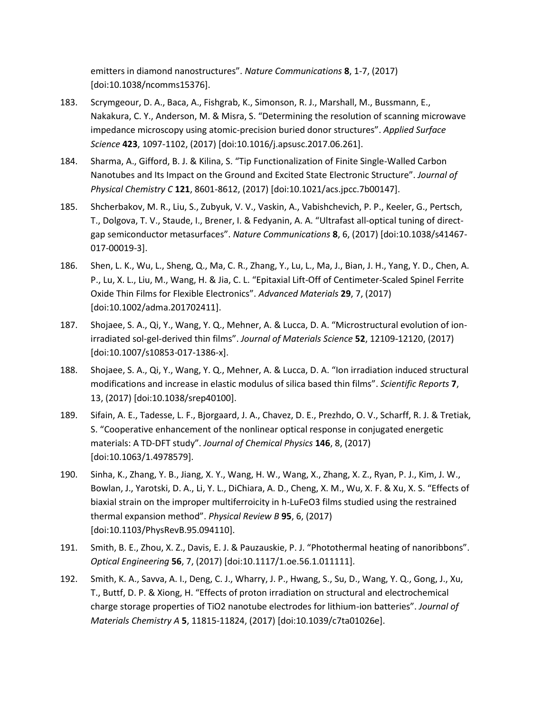emitters in diamond nanostructures". *Nature Communications* **8**, 1-7, (2017) [doi:10.1038/ncomms15376].

- 183. Scrymgeour, D. A., Baca, A., Fishgrab, K., Simonson, R. J., Marshall, M., Bussmann, E., Nakakura, C. Y., Anderson, M. & Misra, S. "Determining the resolution of scanning microwave impedance microscopy using atomic-precision buried donor structures". *Applied Surface Science* **423**, 1097-1102, (2017) [doi:10.1016/j.apsusc.2017.06.261].
- 184. Sharma, A., Gifford, B. J. & Kilina, S. "Tip Functionalization of Finite Single-Walled Carbon Nanotubes and Its Impact on the Ground and Excited State Electronic Structure". *Journal of Physical Chemistry C* **121**, 8601-8612, (2017) [doi:10.1021/acs.jpcc.7b00147].
- 185. Shcherbakov, M. R., Liu, S., Zubyuk, V. V., Vaskin, A., Vabishchevich, P. P., Keeler, G., Pertsch, T., Dolgova, T. V., Staude, I., Brener, I. & Fedyanin, A. A. "Ultrafast all-optical tuning of directgap semiconductor metasurfaces". *Nature Communications* **8**, 6, (2017) [doi:10.1038/s41467- 017-00019-3].
- 186. Shen, L. K., Wu, L., Sheng, Q., Ma, C. R., Zhang, Y., Lu, L., Ma, J., Bian, J. H., Yang, Y. D., Chen, A. P., Lu, X. L., Liu, M., Wang, H. & Jia, C. L. "Epitaxial Lift-Off of Centimeter-Scaled Spinel Ferrite Oxide Thin Films for Flexible Electronics". *Advanced Materials* **29**, 7, (2017) [doi:10.1002/adma.201702411].
- 187. Shojaee, S. A., Qi, Y., Wang, Y. Q., Mehner, A. & Lucca, D. A. "Microstructural evolution of ionirradiated sol-gel-derived thin films". *Journal of Materials Science* **52**, 12109-12120, (2017) [doi:10.1007/s10853-017-1386-x].
- 188. Shojaee, S. A., Qi, Y., Wang, Y. Q., Mehner, A. & Lucca, D. A. "Ion irradiation induced structural modifications and increase in elastic modulus of silica based thin films". *Scientific Reports* **7**, 13, (2017) [doi:10.1038/srep40100].
- 189. Sifain, A. E., Tadesse, L. F., Bjorgaard, J. A., Chavez, D. E., Prezhdo, O. V., Scharff, R. J. & Tretiak, S. "Cooperative enhancement of the nonlinear optical response in conjugated energetic materials: A TD-DFT study". *Journal of Chemical Physics* **146**, 8, (2017) [doi:10.1063/1.4978579].
- 190. Sinha, K., Zhang, Y. B., Jiang, X. Y., Wang, H. W., Wang, X., Zhang, X. Z., Ryan, P. J., Kim, J. W., Bowlan, J., Yarotski, D. A., Li, Y. L., DiChiara, A. D., Cheng, X. M., Wu, X. F. & Xu, X. S. "Effects of biaxial strain on the improper multiferroicity in h-LuFeO3 films studied using the restrained thermal expansion method". *Physical Review B* **95**, 6, (2017) [doi:10.1103/PhysRevB.95.094110].
- 191. Smith, B. E., Zhou, X. Z., Davis, E. J. & Pauzauskie, P. J. "Photothermal heating of nanoribbons". *Optical Engineering* **56**, 7, (2017) [doi:10.1117/1.oe.56.1.011111].
- 192. Smith, K. A., Savva, A. I., Deng, C. J., Wharry, J. P., Hwang, S., Su, D., Wang, Y. Q., Gong, J., Xu, T., Buttf, D. P. & Xiong, H. "Effects of proton irradiation on structural and electrochemical charge storage properties of TiO2 nanotube electrodes for lithium-ion batteries". *Journal of Materials Chemistry A* **5**, 11815-11824, (2017) [doi:10.1039/c7ta01026e].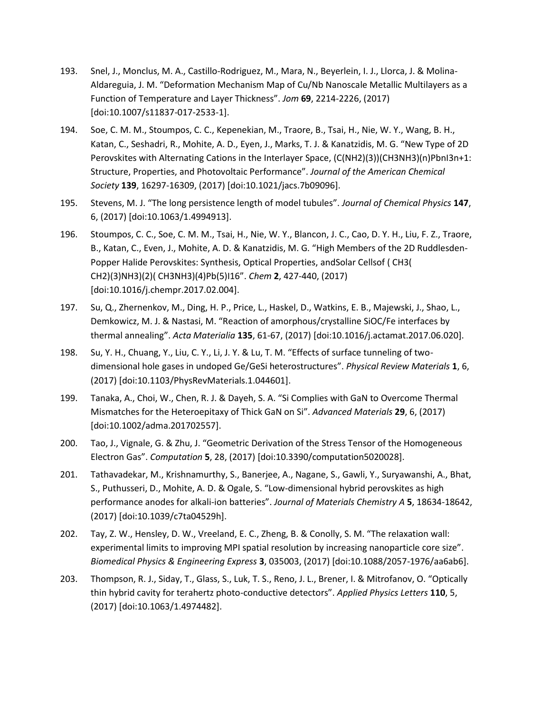- 193. Snel, J., Monclus, M. A., Castillo-Rodriguez, M., Mara, N., Beyerlein, I. J., Llorca, J. & Molina-Aldareguia, J. M. "Deformation Mechanism Map of Cu/Nb Nanoscale Metallic Multilayers as a Function of Temperature and Layer Thickness". *Jom* **69**, 2214-2226, (2017) [doi:10.1007/s11837-017-2533-1].
- 194. Soe, C. M. M., Stoumpos, C. C., Kepenekian, M., Traore, B., Tsai, H., Nie, W. Y., Wang, B. H., Katan, C., Seshadri, R., Mohite, A. D., Eyen, J., Marks, T. J. & Kanatzidis, M. G. "New Type of 2D Perovskites with Alternating Cations in the Interlayer Space, (C(NH2)(3))(CH3NH3)(n)PbnI3n+1: Structure, Properties, and Photovoltaic Performance". *Journal of the American Chemical Society* **139**, 16297-16309, (2017) [doi:10.1021/jacs.7b09096].
- 195. Stevens, M. J. "The long persistence length of model tubules". *Journal of Chemical Physics* **147**, 6, (2017) [doi:10.1063/1.4994913].
- 196. Stoumpos, C. C., Soe, C. M. M., Tsai, H., Nie, W. Y., Blancon, J. C., Cao, D. Y. H., Liu, F. Z., Traore, B., Katan, C., Even, J., Mohite, A. D. & Kanatzidis, M. G. "High Members of the 2D Ruddlesden-Popper Halide Perovskites: Synthesis, Optical Properties, andSolar Cellsof ( CH3( CH2)(3)NH3)(2)( CH3NH3)(4)Pb(5)I16". *Chem* **2**, 427-440, (2017) [doi:10.1016/j.chempr.2017.02.004].
- 197. Su, Q., Zhernenkov, M., Ding, H. P., Price, L., Haskel, D., Watkins, E. B., Majewski, J., Shao, L., Demkowicz, M. J. & Nastasi, M. "Reaction of amorphous/crystalline SiOC/Fe interfaces by thermal annealing". *Acta Materialia* **135**, 61-67, (2017) [doi:10.1016/j.actamat.2017.06.020].
- 198. Su, Y. H., Chuang, Y., Liu, C. Y., Li, J. Y. & Lu, T. M. "Effects of surface tunneling of twodimensional hole gases in undoped Ge/GeSi heterostructures". *Physical Review Materials* **1**, 6, (2017) [doi:10.1103/PhysRevMaterials.1.044601].
- 199. Tanaka, A., Choi, W., Chen, R. J. & Dayeh, S. A. "Si Complies with GaN to Overcome Thermal Mismatches for the Heteroepitaxy of Thick GaN on Si". *Advanced Materials* **29**, 6, (2017) [doi:10.1002/adma.201702557].
- 200. Tao, J., Vignale, G. & Zhu, J. "Geometric Derivation of the Stress Tensor of the Homogeneous Electron Gas". *Computation* **5**, 28, (2017) [doi:10.3390/computation5020028].
- 201. Tathavadekar, M., Krishnamurthy, S., Banerjee, A., Nagane, S., Gawli, Y., Suryawanshi, A., Bhat, S., Puthusseri, D., Mohite, A. D. & Ogale, S. "Low-dimensional hybrid perovskites as high performance anodes for alkali-ion batteries". *Journal of Materials Chemistry A* **5**, 18634-18642, (2017) [doi:10.1039/c7ta04529h].
- 202. Tay, Z. W., Hensley, D. W., Vreeland, E. C., Zheng, B. & Conolly, S. M. "The relaxation wall: experimental limits to improving MPI spatial resolution by increasing nanoparticle core size". *Biomedical Physics & Engineering Express* **3**, 035003, (2017) [doi:10.1088/2057-1976/aa6ab6].
- 203. Thompson, R. J., Siday, T., Glass, S., Luk, T. S., Reno, J. L., Brener, I. & Mitrofanov, O. "Optically thin hybrid cavity for terahertz photo-conductive detectors". *Applied Physics Letters* **110**, 5, (2017) [doi:10.1063/1.4974482].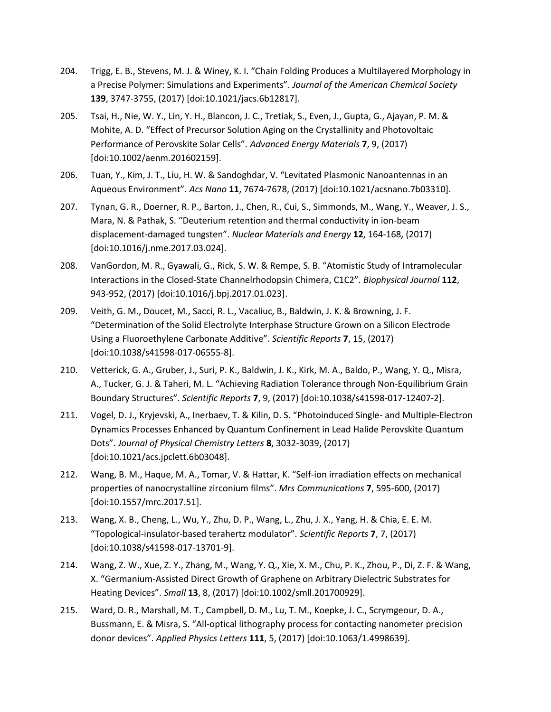- 204. Trigg, E. B., Stevens, M. J. & Winey, K. I. "Chain Folding Produces a Multilayered Morphology in a Precise Polymer: Simulations and Experiments". *Journal of the American Chemical Society* **139**, 3747-3755, (2017) [doi:10.1021/jacs.6b12817].
- 205. Tsai, H., Nie, W. Y., Lin, Y. H., Blancon, J. C., Tretiak, S., Even, J., Gupta, G., Ajayan, P. M. & Mohite, A. D. "Effect of Precursor Solution Aging on the Crystallinity and Photovoltaic Performance of Perovskite Solar Cells". *Advanced Energy Materials* **7**, 9, (2017) [doi:10.1002/aenm.201602159].
- 206. Tuan, Y., Kim, J. T., Liu, H. W. & Sandoghdar, V. "Levitated Plasmonic Nanoantennas in an Aqueous Environment". *Acs Nano* **11**, 7674-7678, (2017) [doi:10.1021/acsnano.7b03310].
- 207. Tynan, G. R., Doerner, R. P., Barton, J., Chen, R., Cui, S., Simmonds, M., Wang, Y., Weaver, J. S., Mara, N. & Pathak, S. "Deuterium retention and thermal conductivity in ion-beam displacement-damaged tungsten". *Nuclear Materials and Energy* **12**, 164-168, (2017) [doi:10.1016/j.nme.2017.03.024].
- 208. VanGordon, M. R., Gyawali, G., Rick, S. W. & Rempe, S. B. "Atomistic Study of Intramolecular Interactions in the Closed-State Channelrhodopsin Chimera, C1C2". *Biophysical Journal* **112**, 943-952, (2017) [doi:10.1016/j.bpj.2017.01.023].
- 209. Veith, G. M., Doucet, M., Sacci, R. L., Vacaliuc, B., Baldwin, J. K. & Browning, J. F. "Determination of the Solid Electrolyte Interphase Structure Grown on a Silicon Electrode Using a Fluoroethylene Carbonate Additive". *Scientific Reports* **7**, 15, (2017) [doi:10.1038/s41598-017-06555-8].
- 210. Vetterick, G. A., Gruber, J., Suri, P. K., Baldwin, J. K., Kirk, M. A., Baldo, P., Wang, Y. Q., Misra, A., Tucker, G. J. & Taheri, M. L. "Achieving Radiation Tolerance through Non-Equilibrium Grain Boundary Structures". *Scientific Reports* **7**, 9, (2017) [doi:10.1038/s41598-017-12407-2].
- 211. Vogel, D. J., Kryjevski, A., Inerbaev, T. & Kilin, D. S. "Photoinduced Single- and Multiple-Electron Dynamics Processes Enhanced by Quantum Confinement in Lead Halide Perovskite Quantum Dots". *Journal of Physical Chemistry Letters* **8**, 3032-3039, (2017) [doi:10.1021/acs.jpclett.6b03048].
- 212. Wang, B. M., Haque, M. A., Tomar, V. & Hattar, K. "Self-ion irradiation effects on mechanical properties of nanocrystalline zirconium films". *Mrs Communications* **7**, 595-600, (2017) [doi:10.1557/mrc.2017.51].
- 213. Wang, X. B., Cheng, L., Wu, Y., Zhu, D. P., Wang, L., Zhu, J. X., Yang, H. & Chia, E. E. M. "Topological-insulator-based terahertz modulator". *Scientific Reports* **7**, 7, (2017) [doi:10.1038/s41598-017-13701-9].
- 214. Wang, Z. W., Xue, Z. Y., Zhang, M., Wang, Y. Q., Xie, X. M., Chu, P. K., Zhou, P., Di, Z. F. & Wang, X. "Germanium-Assisted Direct Growth of Graphene on Arbitrary Dielectric Substrates for Heating Devices". *Small* **13**, 8, (2017) [doi:10.1002/smll.201700929].
- 215. Ward, D. R., Marshall, M. T., Campbell, D. M., Lu, T. M., Koepke, J. C., Scrymgeour, D. A., Bussmann, E. & Misra, S. "All-optical lithography process for contacting nanometer precision donor devices". *Applied Physics Letters* **111**, 5, (2017) [doi:10.1063/1.4998639].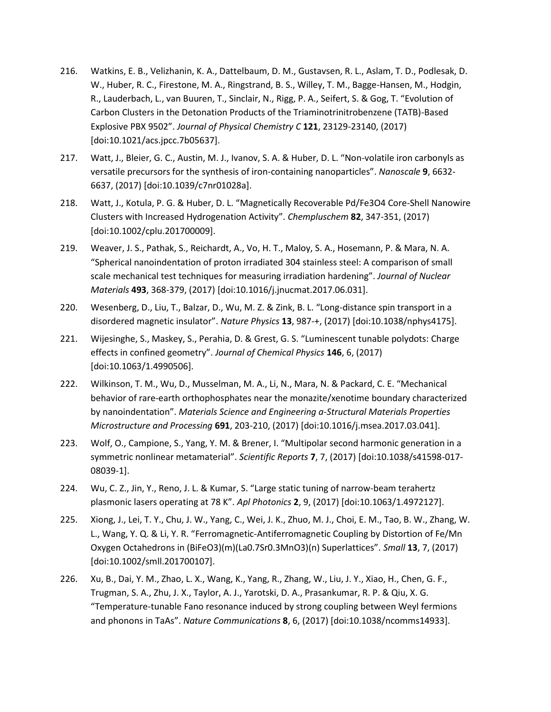- 216. Watkins, E. B., Velizhanin, K. A., Dattelbaum, D. M., Gustavsen, R. L., Aslam, T. D., Podlesak, D. W., Huber, R. C., Firestone, M. A., Ringstrand, B. S., Willey, T. M., Bagge-Hansen, M., Hodgin, R., Lauderbach, L., van Buuren, T., Sinclair, N., Rigg, P. A., Seifert, S. & Gog, T. "Evolution of Carbon Clusters in the Detonation Products of the Triaminotrinitrobenzene (TATB)-Based Explosive PBX 9502". *Journal of Physical Chemistry C* **121**, 23129-23140, (2017) [doi:10.1021/acs.jpcc.7b05637].
- 217. Watt, J., Bleier, G. C., Austin, M. J., Ivanov, S. A. & Huber, D. L. "Non-volatile iron carbonyls as versatile precursors for the synthesis of iron-containing nanoparticles". *Nanoscale* **9**, 6632- 6637, (2017) [doi:10.1039/c7nr01028a].
- 218. Watt, J., Kotula, P. G. & Huber, D. L. "Magnetically Recoverable Pd/Fe3O4 Core-Shell Nanowire Clusters with Increased Hydrogenation Activity". *Chempluschem* **82**, 347-351, (2017) [doi:10.1002/cplu.201700009].
- 219. Weaver, J. S., Pathak, S., Reichardt, A., Vo, H. T., Maloy, S. A., Hosemann, P. & Mara, N. A. "Spherical nanoindentation of proton irradiated 304 stainless steel: A comparison of small scale mechanical test techniques for measuring irradiation hardening". *Journal of Nuclear Materials* **493**, 368-379, (2017) [doi:10.1016/j.jnucmat.2017.06.031].
- 220. Wesenberg, D., Liu, T., Balzar, D., Wu, M. Z. & Zink, B. L. "Long-distance spin transport in a disordered magnetic insulator". *Nature Physics* **13**, 987-+, (2017) [doi:10.1038/nphys4175].
- 221. Wijesinghe, S., Maskey, S., Perahia, D. & Grest, G. S. "Luminescent tunable polydots: Charge effects in confined geometry". *Journal of Chemical Physics* **146**, 6, (2017) [doi:10.1063/1.4990506].
- 222. Wilkinson, T. M., Wu, D., Musselman, M. A., Li, N., Mara, N. & Packard, C. E. "Mechanical behavior of rare-earth orthophosphates near the monazite/xenotime boundary characterized by nanoindentation". *Materials Science and Engineering a-Structural Materials Properties Microstructure and Processing* **691**, 203-210, (2017) [doi:10.1016/j.msea.2017.03.041].
- 223. Wolf, O., Campione, S., Yang, Y. M. & Brener, I. "Multipolar second harmonic generation in a symmetric nonlinear metamaterial". *Scientific Reports* **7**, 7, (2017) [doi:10.1038/s41598-017- 08039-1].
- 224. Wu, C. Z., Jin, Y., Reno, J. L. & Kumar, S. "Large static tuning of narrow-beam terahertz plasmonic lasers operating at 78 K". *Apl Photonics* **2**, 9, (2017) [doi:10.1063/1.4972127].
- 225. Xiong, J., Lei, T. Y., Chu, J. W., Yang, C., Wei, J. K., Zhuo, M. J., Choi, E. M., Tao, B. W., Zhang, W. L., Wang, Y. Q. & Li, Y. R. "Ferromagnetic-Antiferromagnetic Coupling by Distortion of Fe/Mn Oxygen Octahedrons in (BiFeO3)(m)(La0.7Sr0.3MnO3)(n) Superlattices". *Small* **13**, 7, (2017) [doi:10.1002/smll.201700107].
- 226. Xu, B., Dai, Y. M., Zhao, L. X., Wang, K., Yang, R., Zhang, W., Liu, J. Y., Xiao, H., Chen, G. F., Trugman, S. A., Zhu, J. X., Taylor, A. J., Yarotski, D. A., Prasankumar, R. P. & Qiu, X. G. "Temperature-tunable Fano resonance induced by strong coupling between Weyl fermions and phonons in TaAs". *Nature Communications* **8**, 6, (2017) [doi:10.1038/ncomms14933].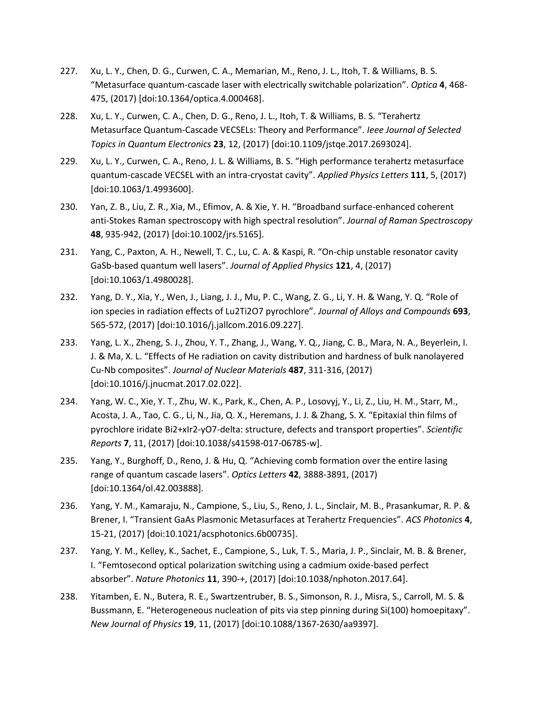- 227. Xu, L. Y., Chen, D. G., Curwen, C. A., Memarian, M., Reno, J. L., Itoh, T. & Williams, B. S. "Metasurface quantum-cascade laser with electrically switchable polarization". *Optica* **4**, 468- 475, (2017) [doi:10.1364/optica.4.000468].
- 228. Xu, L. Y., Curwen, C. A., Chen, D. G., Reno, J. L., Itoh, T. & Williams, B. S. "Terahertz Metasurface Quantum-Cascade VECSELs: Theory and Performance". *Ieee Journal of Selected Topics in Quantum Electronics* **23**, 12, (2017) [doi:10.1109/jstqe.2017.2693024].
- 229. Xu, L. Y., Curwen, C. A., Reno, J. L. & Williams, B. S. "High performance terahertz metasurface quantum-cascade VECSEL with an intra-cryostat cavity". *Applied Physics Letters* **111**, 5, (2017) [doi:10.1063/1.4993600].
- 230. Yan, Z. B., Liu, Z. R., Xia, M., Efimov, A. & Xie, Y. H. "Broadband surface-enhanced coherent anti-Stokes Raman spectroscopy with high spectral resolution". *Journal of Raman Spectroscopy* **48**, 935-942, (2017) [doi:10.1002/jrs.5165].
- 231. Yang, C., Paxton, A. H., Newell, T. C., Lu, C. A. & Kaspi, R. "On-chip unstable resonator cavity GaSb-based quantum well lasers". *Journal of Applied Physics* **121**, 4, (2017) [doi:10.1063/1.4980028].
- 232. Yang, D. Y., Xia, Y., Wen, J., Liang, J. J., Mu, P. C., Wang, Z. G., Li, Y. H. & Wang, Y. Q. "Role of ion species in radiation effects of Lu2Ti2O7 pyrochlore". *Journal of Alloys and Compounds* **693**, 565-572, (2017) [doi:10.1016/j.jallcom.2016.09.227].
- 233. Yang, L. X., Zheng, S. J., Zhou, Y. T., Zhang, J., Wang, Y. Q., Jiang, C. B., Mara, N. A., Beyerlein, I. J. & Ma, X. L. "Effects of He radiation on cavity distribution and hardness of bulk nanolayered Cu-Nb composites". *Journal of Nuclear Materials* **487**, 311-316, (2017) [doi:10.1016/j.jnucmat.2017.02.022].
- 234. Yang, W. C., Xie, Y. T., Zhu, W. K., Park, K., Chen, A. P., Losovyj, Y., Li, Z., Liu, H. M., Starr, M., Acosta, J. A., Tao, C. G., Li, N., Jia, Q. X., Heremans, J. J. & Zhang, S. X. "Epitaxial thin films of pyrochlore iridate Bi2+xIr2-yO7-delta: structure, defects and transport properties". *Scientific Reports* **7**, 11, (2017) [doi:10.1038/s41598-017-06785-w].
- 235. Yang, Y., Burghoff, D., Reno, J. & Hu, Q. "Achieving comb formation over the entire lasing range of quantum cascade lasers". *Optics Letters* **42**, 3888-3891, (2017) [doi:10.1364/ol.42.003888].
- 236. Yang, Y. M., Kamaraju, N., Campione, S., Liu, S., Reno, J. L., Sinclair, M. B., Prasankumar, R. P. & Brener, I. "Transient GaAs Plasmonic Metasurfaces at Terahertz Frequencies". *ACS Photonics* **4**, 15-21, (2017) [doi:10.1021/acsphotonics.6b00735].
- 237. Yang, Y. M., Kelley, K., Sachet, E., Campione, S., Luk, T. S., Maria, J. P., Sinclair, M. B. & Brener, I. "Femtosecond optical polarization switching using a cadmium oxide-based perfect absorber". *Nature Photonics* **11**, 390-+, (2017) [doi:10.1038/nphoton.2017.64].
- 238. Yitamben, E. N., Butera, R. E., Swartzentruber, B. S., Simonson, R. J., Misra, S., Carroll, M. S. & Bussmann, E. "Heterogeneous nucleation of pits via step pinning during Si(100) homoepitaxy". *New Journal of Physics* **19**, 11, (2017) [doi:10.1088/1367-2630/aa9397].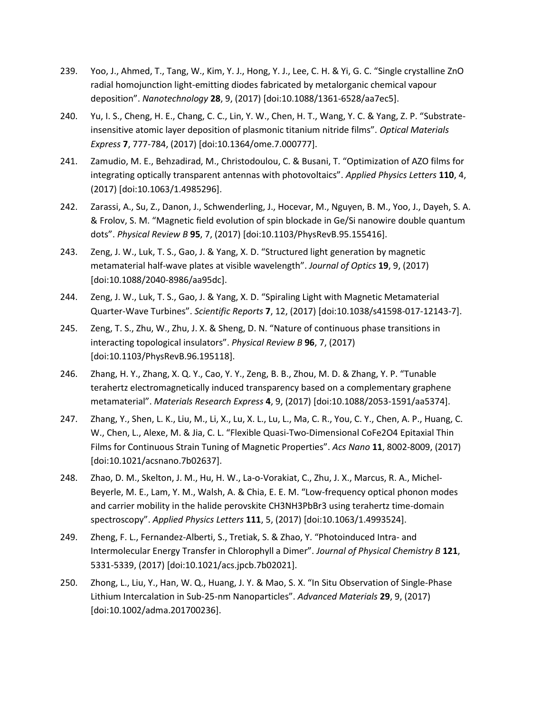- 239. Yoo, J., Ahmed, T., Tang, W., Kim, Y. J., Hong, Y. J., Lee, C. H. & Yi, G. C. "Single crystalline ZnO radial homojunction light-emitting diodes fabricated by metalorganic chemical vapour deposition". *Nanotechnology* **28**, 9, (2017) [doi:10.1088/1361-6528/aa7ec5].
- 240. Yu, I. S., Cheng, H. E., Chang, C. C., Lin, Y. W., Chen, H. T., Wang, Y. C. & Yang, Z. P. "Substrateinsensitive atomic layer deposition of plasmonic titanium nitride films". *Optical Materials Express* **7**, 777-784, (2017) [doi:10.1364/ome.7.000777].
- 241. Zamudio, M. E., Behzadirad, M., Christodoulou, C. & Busani, T. "Optimization of AZO films for integrating optically transparent antennas with photovoltaics". *Applied Physics Letters* **110**, 4, (2017) [doi:10.1063/1.4985296].
- 242. Zarassi, A., Su, Z., Danon, J., Schwenderling, J., Hocevar, M., Nguyen, B. M., Yoo, J., Dayeh, S. A. & Frolov, S. M. "Magnetic field evolution of spin blockade in Ge/Si nanowire double quantum dots". *Physical Review B* **95**, 7, (2017) [doi:10.1103/PhysRevB.95.155416].
- 243. Zeng, J. W., Luk, T. S., Gao, J. & Yang, X. D. "Structured light generation by magnetic metamaterial half-wave plates at visible wavelength". *Journal of Optics* **19**, 9, (2017) [doi:10.1088/2040-8986/aa95dc].
- 244. Zeng, J. W., Luk, T. S., Gao, J. & Yang, X. D. "Spiraling Light with Magnetic Metamaterial Quarter-Wave Turbines". *Scientific Reports* **7**, 12, (2017) [doi:10.1038/s41598-017-12143-7].
- 245. Zeng, T. S., Zhu, W., Zhu, J. X. & Sheng, D. N. "Nature of continuous phase transitions in interacting topological insulators". *Physical Review B* **96**, 7, (2017) [doi:10.1103/PhysRevB.96.195118].
- 246. Zhang, H. Y., Zhang, X. Q. Y., Cao, Y. Y., Zeng, B. B., Zhou, M. D. & Zhang, Y. P. "Tunable terahertz electromagnetically induced transparency based on a complementary graphene metamaterial". *Materials Research Express* **4**, 9, (2017) [doi:10.1088/2053-1591/aa5374].
- 247. Zhang, Y., Shen, L. K., Liu, M., Li, X., Lu, X. L., Lu, L., Ma, C. R., You, C. Y., Chen, A. P., Huang, C. W., Chen, L., Alexe, M. & Jia, C. L. "Flexible Quasi-Two-Dimensional CoFe2O4 Epitaxial Thin Films for Continuous Strain Tuning of Magnetic Properties". *Acs Nano* **11**, 8002-8009, (2017) [doi:10.1021/acsnano.7b02637].
- 248. Zhao, D. M., Skelton, J. M., Hu, H. W., La-o-Vorakiat, C., Zhu, J. X., Marcus, R. A., Michel-Beyerle, M. E., Lam, Y. M., Walsh, A. & Chia, E. E. M. "Low-frequency optical phonon modes and carrier mobility in the halide perovskite CH3NH3PbBr3 using terahertz time-domain spectroscopy". *Applied Physics Letters* **111**, 5, (2017) [doi:10.1063/1.4993524].
- 249. Zheng, F. L., Fernandez-Alberti, S., Tretiak, S. & Zhao, Y. "Photoinduced Intra- and Intermolecular Energy Transfer in Chlorophyll a Dimer". *Journal of Physical Chemistry B* **121**, 5331-5339, (2017) [doi:10.1021/acs.jpcb.7b02021].
- 250. Zhong, L., Liu, Y., Han, W. Q., Huang, J. Y. & Mao, S. X. "In Situ Observation of Single-Phase Lithium Intercalation in Sub-25-nm Nanoparticles". *Advanced Materials* **29**, 9, (2017) [doi:10.1002/adma.201700236].